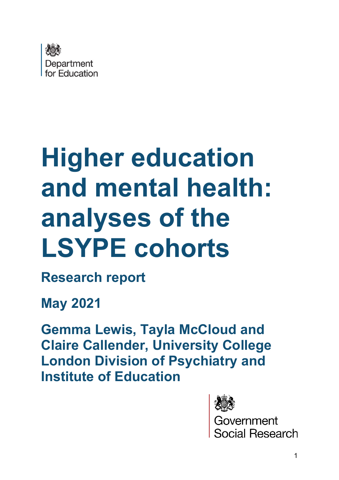

# **Higher education and mental health: analyses of the LSYPE cohorts**

**Research report** 

**May 2021**

**Gemma Lewis, Tayla McCloud and Claire Callender, University College London Division of Psychiatry and Institute of Education** 



<mark>overnment</mark><br>pcial Research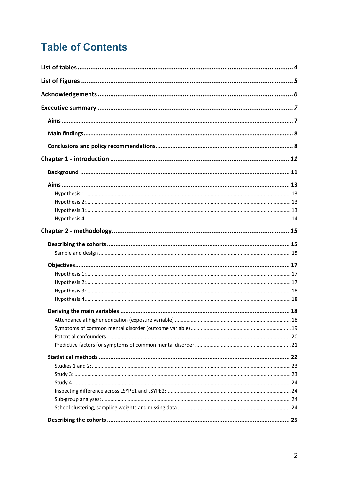# **Table of Contents**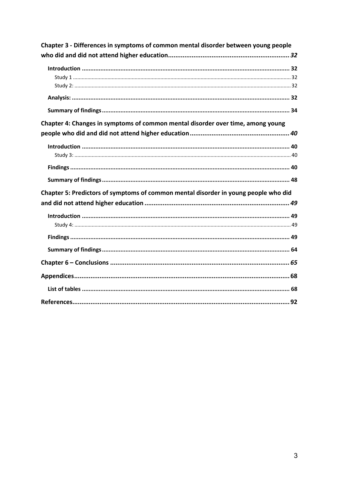| Chapter 3 - Differences in symptoms of common mental disorder between young people  |  |
|-------------------------------------------------------------------------------------|--|
|                                                                                     |  |
|                                                                                     |  |
|                                                                                     |  |
|                                                                                     |  |
|                                                                                     |  |
|                                                                                     |  |
| Chapter 4: Changes in symptoms of common mental disorder over time, among young     |  |
|                                                                                     |  |
|                                                                                     |  |
|                                                                                     |  |
|                                                                                     |  |
|                                                                                     |  |
| Chapter 5: Predictors of symptoms of common mental disorder in young people who did |  |
|                                                                                     |  |
|                                                                                     |  |
|                                                                                     |  |
|                                                                                     |  |
|                                                                                     |  |
|                                                                                     |  |
|                                                                                     |  |
|                                                                                     |  |
|                                                                                     |  |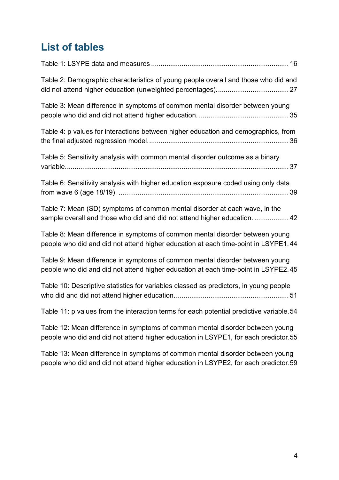# <span id="page-3-0"></span>**List of tables**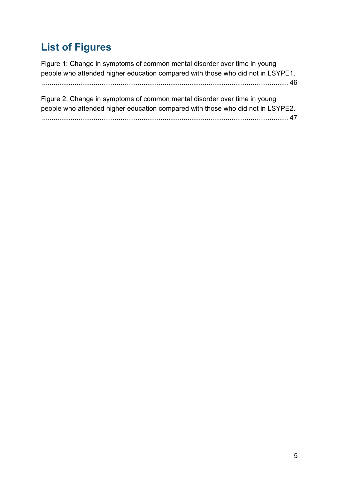# <span id="page-4-0"></span>**List of Figures**

[Figure 1: Change in symptoms of common mental disorder over time in young](#page-45-0)  [people who attended higher education compared with those who did not in LSYPE1.](#page-45-0) [................................................................................................................................. 46](#page-45-0)

| Figure 2: Change in symptoms of common mental disorder over time in young       |
|---------------------------------------------------------------------------------|
| people who attended higher education compared with those who did not in LSYPE2. |
| $\dots$ 47                                                                      |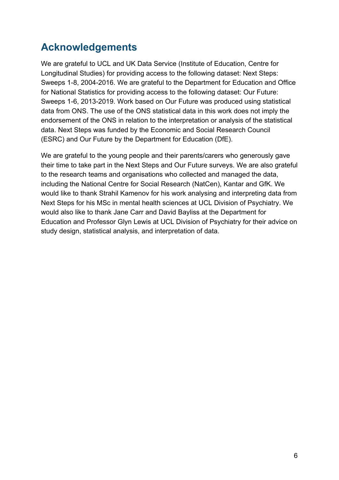# <span id="page-5-0"></span>**Acknowledgements**

We are grateful to UCL and UK Data Service (Institute of Education, Centre for Longitudinal Studies) for providing access to the following dataset: Next Steps: Sweeps 1-8, 2004-2016. We are grateful to the Department for Education and Office for National Statistics for providing access to the following dataset: Our Future: Sweeps 1-6, 2013-2019. Work based on Our Future was produced using statistical data from ONS. The use of the ONS statistical data in this work does not imply the endorsement of the ONS in relation to the interpretation or analysis of the statistical data. Next Steps was funded by the Economic and Social Research Council (ESRC) and Our Future by the Department for Education (DfE).

We are grateful to the young people and their parents/carers who generously gave their time to take part in the Next Steps and Our Future surveys. We are also grateful to the research teams and organisations who collected and managed the data, including the National Centre for Social Research (NatCen), Kantar and GfK. We would like to thank Strahil Kamenov for his work analysing and interpreting data from Next Steps for his MSc in mental health sciences at UCL Division of Psychiatry. We would also like to thank Jane Carr and David Bayliss at the Department for Education and Professor Glyn Lewis at UCL Division of Psychiatry for their advice on study design, statistical analysis, and interpretation of data.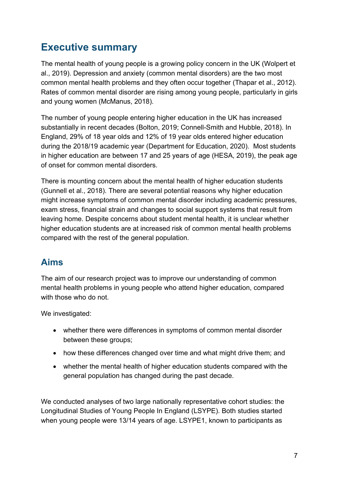# <span id="page-6-0"></span>**Executive summary**

The mental health of young people is a growing policy concern in the UK (Wolpert et al., 2019). Depression and anxiety (common mental disorders) are the two most common mental health problems and they often occur together (Thapar et al., 2012). Rates of common mental disorder are rising among young people, particularly in girls and young women (McManus, 2018).

The number of young people entering higher education in the UK has increased substantially in recent decades (Bolton, 2019; Connell-Smith and Hubble, 2018). In England, 29% of 18 year olds and 12% of 19 year olds entered higher education during the 2018/19 academic year (Department for Education, 2020). Most students in higher education are between 17 and 25 years of age (HESA, 2019), the peak age of onset for common mental disorders.

There is mounting concern about the mental health of higher education students (Gunnell et al., 2018). There are several potential reasons why higher education might increase symptoms of common mental disorder including academic pressures, exam stress, financial strain and changes to social support systems that result from leaving home. Despite concerns about student mental health, it is unclear whether higher education students are at increased risk of common mental health problems compared with the rest of the general population.

## <span id="page-6-1"></span>**Aims**

The aim of our research project was to improve our understanding of common mental health problems in young people who attend higher education, compared with those who do not.

We investigated:

- whether there were differences in symptoms of common mental disorder between these groups;
- how these differences changed over time and what might drive them: and
- whether the mental health of higher education students compared with the general population has changed during the past decade.

We conducted analyses of two large nationally representative cohort studies: the Longitudinal Studies of Young People In England (LSYPE). Both studies started when young people were 13/14 years of age. LSYPE1, known to participants as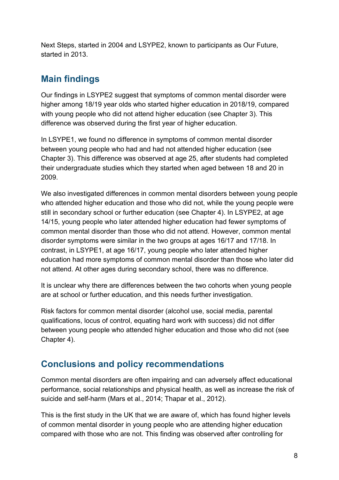Next Steps, started in 2004 and LSYPE2, known to participants as Our Future, started in 2013.

## <span id="page-7-0"></span>**Main findings**

Our findings in LSYPE2 suggest that symptoms of common mental disorder were higher among 18/19 year olds who started higher education in 2018/19, compared with young people who did not attend higher education (see Chapter 3). This difference was observed during the first year of higher education.

In LSYPE1, we found no difference in symptoms of common mental disorder between young people who had and had not attended higher education (see Chapter 3). This difference was observed at age 25, after students had completed their undergraduate studies which they started when aged between 18 and 20 in 2009.

We also investigated differences in common mental disorders between young people who attended higher education and those who did not, while the young people were still in secondary school or further education (see Chapter 4). In LSYPE2, at age 14/15, young people who later attended higher education had fewer symptoms of common mental disorder than those who did not attend. However, common mental disorder symptoms were similar in the two groups at ages 16/17 and 17/18. In contrast, in LSYPE1, at age 16/17, young people who later attended higher education had more symptoms of common mental disorder than those who later did not attend. At other ages during secondary school, there was no difference.

It is unclear why there are differences between the two cohorts when young people are at school or further education, and this needs further investigation.

Risk factors for common mental disorder (alcohol use, social media, parental qualifications, locus of control, equating hard work with success) did not differ between young people who attended higher education and those who did not (see Chapter 4).

## <span id="page-7-1"></span>**Conclusions and policy recommendations**

Common mental disorders are often impairing and can adversely affect educational performance, social relationships and physical health, as well as increase the risk of suicide and self-harm (Mars et al., 2014; Thapar et al., 2012).

This is the first study in the UK that we are aware of, which has found higher levels of common mental disorder in young people who are attending higher education compared with those who are not. This finding was observed after controlling for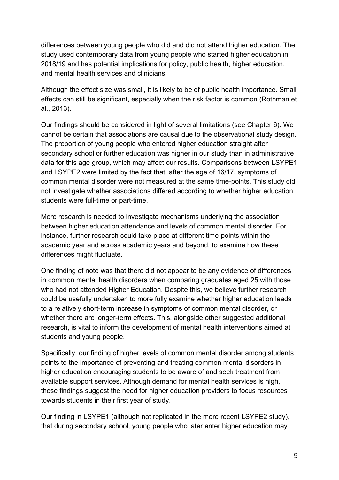differences between young people who did and did not attend higher education. The study used contemporary data from young people who started higher education in 2018/19 and has potential implications for policy, public health, higher education, and mental health services and clinicians.

Although the effect size was small, it is likely to be of public health importance. Small effects can still be significant, especially when the risk factor is common (Rothman et al., 2013).

Our findings should be considered in light of several limitations (see Chapter 6). We cannot be certain that associations are causal due to the observational study design. The proportion of young people who entered higher education straight after secondary school or further education was higher in our study than in administrative data for this age group, which may affect our results. Comparisons between LSYPE1 and LSYPE2 were limited by the fact that, after the age of 16/17, symptoms of common mental disorder were not measured at the same time-points. This study did not investigate whether associations differed according to whether higher education students were full-time or part-time.

More research is needed to investigate mechanisms underlying the association between higher education attendance and levels of common mental disorder. For instance, further research could take place at different time-points within the academic year and across academic years and beyond, to examine how these differences might fluctuate.

One finding of note was that there did not appear to be any evidence of differences in common mental health disorders when comparing graduates aged 25 with those who had not attended Higher Education. Despite this, we believe further research could be usefully undertaken to more fully examine whether higher education leads to a relatively short-term increase in symptoms of common mental disorder, or whether there are longer-term effects. This, alongside other suggested additional research, is vital to inform the development of mental health interventions aimed at students and young people.

Specifically, our finding of higher levels of common mental disorder among students points to the importance of preventing and treating common mental disorders in higher education encouraging students to be aware of and seek treatment from available support services. Although demand for mental health services is high, these findings suggest the need for higher education providers to focus resources towards students in their first year of study.

Our finding in LSYPE1 (although not replicated in the more recent LSYPE2 study), that during secondary school, young people who later enter higher education may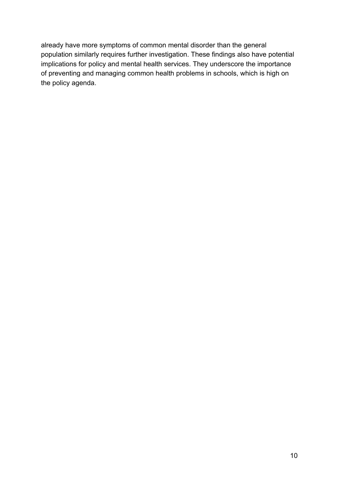already have more symptoms of common mental disorder than the general population similarly requires further investigation. These findings also have potential implications for policy and mental health services. They underscore the importance of preventing and managing common health problems in schools, which is high on the policy agenda.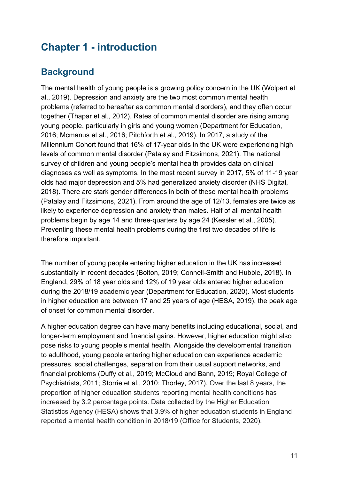## <span id="page-10-0"></span>**Chapter 1 - introduction**

## <span id="page-10-1"></span>**Background**

The mental health of young people is a growing policy concern in the UK (Wolpert et al., 2019). Depression and anxiety are the two most common mental health problems (referred to hereafter as common mental disorders), and they often occur together (Thapar et al., 2012). Rates of common mental disorder are rising among young people, particularly in girls and young women (Department for Education, 2016; Mcmanus et al., 2016; Pitchforth et al., 2019). In 2017, a study of the Millennium Cohort found that 16% of 17-year olds in the UK were experiencing high levels of common mental disorder (Patalay and Fitzsimons, 2021). The national survey of children and young people's mental health provides data on clinical diagnoses as well as symptoms. In the most recent survey in 2017, 5% of 11-19 year olds had major depression and 5% had generalized anxiety disorder (NHS Digital, 2018). There are stark gender differences in both of these mental health problems (Patalay and Fitzsimons, 2021). From around the age of 12/13, females are twice as likely to experience depression and anxiety than males. Half of all mental health problems begin by age 14 and three-quarters by age 24 (Kessler et al., 2005). Preventing these mental health problems during the first two decades of life is therefore important.

The number of young people entering higher education in the UK has increased substantially in recent decades (Bolton, 2019; Connell-Smith and Hubble, 2018). In England, 29% of 18 year olds and 12% of 19 year olds entered higher education during the 2018/19 academic year (Department for Education, 2020). Most students in higher education are between 17 and 25 years of age (HESA, 2019), the peak age of onset for common mental disorder.

A higher education degree can have many benefits including educational, social, and longer-term employment and financial gains. However, higher education might also pose risks to young people's mental health. Alongside the developmental transition to adulthood, young people entering higher education can experience academic pressures, social challenges, separation from their usual support networks, and financial problems (Duffy et al., 2019; McCloud and Bann, 2019; Royal College of Psychiatrists, 2011; Storrie et al., 2010; Thorley, 2017). Over the last 8 years, the proportion of higher education students reporting mental health conditions has increased by 3.2 percentage points. Data collected by the Higher Education Statistics Agency (HESA) shows that 3.9% of higher education students in England reported a mental health condition in 2018/19 (Office for Students, 2020).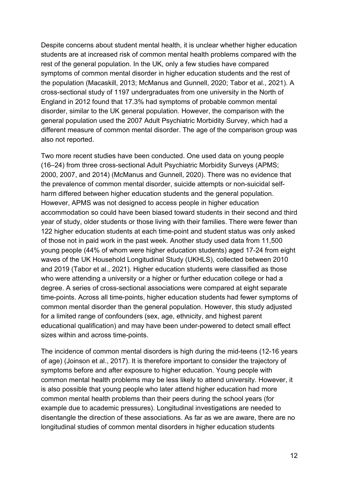Despite concerns about student mental health, it is unclear whether higher education students are at increased risk of common mental health problems compared with the rest of the general population. In the UK, only a few studies have compared symptoms of common mental disorder in higher education students and the rest of the population (Macaskill, 2013; McManus and Gunnell, 2020; Tabor et al., 2021). A cross-sectional study of 1197 undergraduates from one university in the North of England in 2012 found that 17.3% had symptoms of probable common mental disorder, similar to the UK general population. However, the comparison with the general population used the 2007 Adult Psychiatric Morbidity Survey, which had a different measure of common mental disorder. The age of the comparison group was also not reported.

Two more recent studies have been conducted. One used data on young people (16–24) from three cross-sectional Adult Psychiatric Morbidity Surveys (APMS; 2000, 2007, and 2014) (McManus and Gunnell, 2020). There was no evidence that the prevalence of common mental disorder, suicide attempts or non-suicidal selfharm differed between higher education students and the general population. However, APMS was not designed to access people in higher education accommodation so could have been biased toward students in their second and third year of study, older students or those living with their families. There were fewer than 122 higher education students at each time-point and student status was only asked of those not in paid work in the past week. Another study used data from 11,500 young people (44% of whom were higher education students) aged 17-24 from eight waves of the UK Household Longitudinal Study (UKHLS), collected between 2010 and 2019 (Tabor et al., 2021). Higher education students were classified as those who were attending a university or a higher or further education college or had a degree. A series of cross-sectional associations were compared at eight separate time-points. Across all time-points, higher education students had fewer symptoms of common mental disorder than the general population. However, this study adjusted for a limited range of confounders (sex, age, ethnicity, and highest parent educational qualification) and may have been under-powered to detect small effect sizes within and across time-points.

The incidence of common mental disorders is high during the mid-teens (12-16 years of age) (Joinson et al., 2017). It is therefore important to consider the trajectory of symptoms before and after exposure to higher education. Young people with common mental health problems may be less likely to attend university. However, it is also possible that young people who later attend higher education had more common mental health problems than their peers during the school years (for example due to academic pressures). Longitudinal investigations are needed to disentangle the direction of these associations. As far as we are aware, there are no longitudinal studies of common mental disorders in higher education students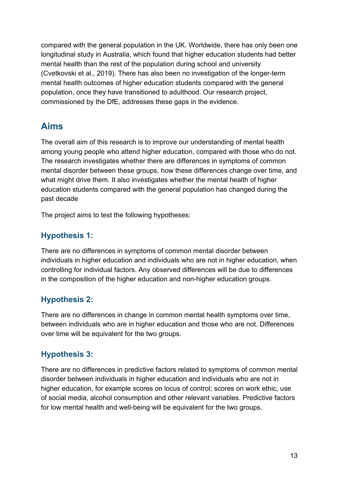compared with the general population in the UK. Worldwide, there has only been one longitudinal study in Australia, which found that higher education students had better mental health than the rest of the population during school and university (Cvetkovski et al., 2019). There has also been no investigation of the longer-term mental health outcomes of higher education students compared with the general population, once they have transitioned to adulthood. Our research project, commissioned by the DfE, addresses these gaps in the evidence.

## <span id="page-12-0"></span>**Aims**

The overall aim of this research is to improve our understanding of mental health among young people who attend higher education, compared with those who do not. The research investigates whether there are differences in symptoms of common mental disorder between these groups, how these differences change over time, and what might drive them. It also investigates whether the mental health of higher education students compared with the general population has changed during the past decade

The project aims to test the following hypotheses:

## <span id="page-12-1"></span>**Hypothesis 1:**

There are no differences in symptoms of common mental disorder between individuals in higher education and individuals who are not in higher education, when controlling for individual factors. Any observed differences will be due to differences in the composition of the higher education and non-higher education groups.

#### <span id="page-12-2"></span>**Hypothesis 2:**

There are no differences in change in common mental health symptoms over time, between individuals who are in higher education and those who are not. Differences over time will be equivalent for the two groups.

#### <span id="page-12-3"></span>**Hypothesis 3:**

There are no differences in predictive factors related to symptoms of common mental disorder between individuals in higher education and individuals who are not in higher education, for example scores on locus of control; scores on work ethic, use of social media, alcohol consumption and other relevant variables. Predictive factors for low mental health and well-being will be equivalent for the two groups.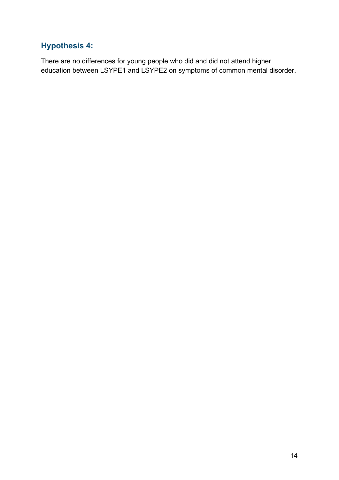## <span id="page-13-0"></span>**Hypothesis 4:**

There are no differences for young people who did and did not attend higher education between LSYPE1 and LSYPE2 on symptoms of common mental disorder.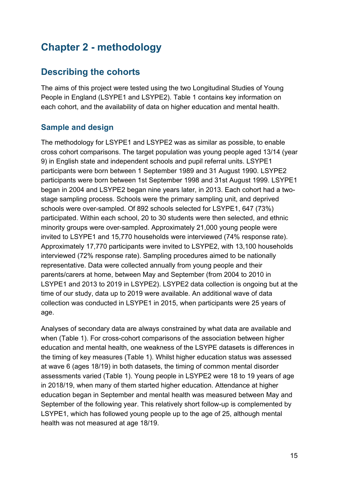# <span id="page-14-0"></span>**Chapter 2 - methodology**

## <span id="page-14-1"></span>**Describing the cohorts**

The aims of this project were tested using the two Longitudinal Studies of Young People in England (LSYPE1 and LSYPE2). Table 1 contains key information on each cohort, and the availability of data on higher education and mental health.

#### <span id="page-14-2"></span>**Sample and design**

The methodology for LSYPE1 and LSYPE2 was as similar as possible, to enable cross cohort comparisons. The target population was young people aged 13/14 (year 9) in English state and independent schools and pupil referral units. LSYPE1 participants were born between 1 September 1989 and 31 August 1990. LSYPE2 participants were born between 1st September 1998 and 31st August 1999. LSYPE1 began in 2004 and LSYPE2 began nine years later, in 2013. Each cohort had a twostage sampling process. Schools were the primary sampling unit, and deprived schools were over-sampled. Of 892 schools selected for LSYPE1, 647 (73%) participated. Within each school, 20 to 30 students were then selected, and ethnic minority groups were over-sampled. Approximately 21,000 young people were invited to LSYPE1 and 15,770 households were interviewed (74% response rate). Approximately 17,770 participants were invited to LSYPE2, with 13,100 households interviewed (72% response rate). Sampling procedures aimed to be nationally representative. Data were collected annually from young people and their parents/carers at home, between May and September (from 2004 to 2010 in LSYPE1 and 2013 to 2019 in LSYPE2). LSYPE2 data collection is ongoing but at the time of our study, data up to 2019 were available. An additional wave of data collection was conducted in LSYPE1 in 2015, when participants were 25 years of age.

Analyses of secondary data are always constrained by what data are available and when (Table 1). For cross-cohort comparisons of the association between higher education and mental health, one weakness of the LSYPE datasets is differences in the timing of key measures (Table 1). Whilst higher education status was assessed at wave 6 (ages 18/19) in both datasets, the timing of common mental disorder assessments varied (Table 1). Young people in LSYPE2 were 18 to 19 years of age in 2018/19, when many of them started higher education. Attendance at higher education began in September and mental health was measured between May and September of the following year. This relatively short follow-up is complemented by LSYPE1, which has followed young people up to the age of 25, although mental health was not measured at age 18/19.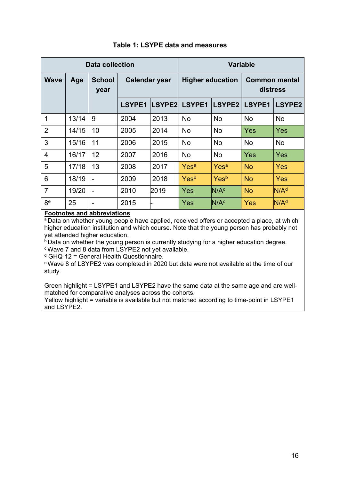<span id="page-15-0"></span>

| Data collection |       |                          |                      |        | <b>Variable</b>         |                  |                                  |                  |
|-----------------|-------|--------------------------|----------------------|--------|-------------------------|------------------|----------------------------------|------------------|
| <b>Wave</b>     | Age   | <b>School</b><br>year    | <b>Calendar year</b> |        | <b>Higher education</b> |                  | <b>Common mental</b><br>distress |                  |
|                 |       |                          | LSYPE1               | LSYPE2 | LSYPE1                  | LSYPE2           | LSYPE1                           | LSYPE2           |
| 1               | 13/14 | 9                        | 2004                 | 2013   | <b>No</b>               | <b>No</b>        | <b>No</b>                        | <b>No</b>        |
| $\overline{2}$  | 14/15 | 10                       | 2005                 | 2014   | No                      | No               | Yes                              | <b>Yes</b>       |
| 3               | 15/16 | 11                       | 2006                 | 2015   | No                      | <b>No</b>        | <b>No</b>                        | <b>No</b>        |
| $\overline{4}$  | 16/17 | 12                       | 2007                 | 2016   | <b>No</b>               | <b>No</b>        | Yes                              | <b>Yes</b>       |
| 5               | 17/18 | 13                       | 2008                 | 2017   | Yes <sup>a</sup>        | Yes <sup>a</sup> | <b>No</b>                        | Yes              |
| 6               | 18/19 |                          | 2009                 | 2018   | Yesb                    | Yesb             | <b>No</b>                        | Yes              |
| $\overline{7}$  | 19/20 |                          | 2010                 | 2019   | Yes                     | N/A <sup>c</sup> | <b>No</b>                        | N/A <sup>d</sup> |
| 8e              | 25    | $\overline{\phantom{0}}$ | 2015                 |        | Yes                     | N/A <sup>c</sup> | <b>Yes</b>                       | N/A <sup>d</sup> |

#### **Table 1: LSYPE data and measures**

#### **Footnotes and abbreviations**

<sup>a</sup> Data on whether young people have applied, received offers or accepted a place, at which higher education institution and which course. Note that the young person has probably not yet attended higher education.

**b** Data on whether the young person is currently studying for a higher education degree.

c Wave 7 and 8 data from LSYPE2 not yet available.

 $d$  GHQ-12 = General Health Questionnaire.

e Wave 8 of LSYPE2 was completed in 2020 but data were not available at the time of our study.

Green highlight = LSYPE1 and LSYPE2 have the same data at the same age and are wellmatched for comparative analyses across the cohorts.

Yellow highlight = variable is available but not matched according to time-point in LSYPE1 and LSYPE2.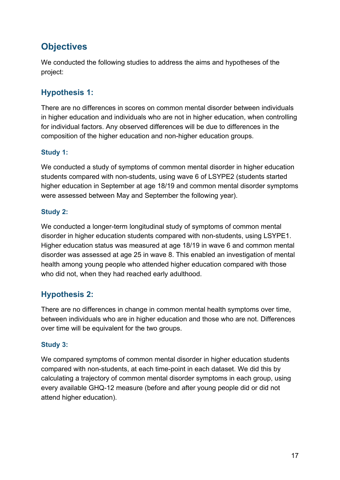## <span id="page-16-0"></span>**Objectives**

We conducted the following studies to address the aims and hypotheses of the project:

## <span id="page-16-1"></span>**Hypothesis 1:**

There are no differences in scores on common mental disorder between individuals in higher education and individuals who are not in higher education, when controlling for individual factors. Any observed differences will be due to differences in the composition of the higher education and non-higher education groups.

#### **Study 1:**

We conducted a study of symptoms of common mental disorder in higher education students compared with non-students, using wave 6 of LSYPE2 (students started higher education in September at age 18/19 and common mental disorder symptoms were assessed between May and September the following year).

#### **Study 2:**

We conducted a longer-term longitudinal study of symptoms of common mental disorder in higher education students compared with non-students, using LSYPE1. Higher education status was measured at age 18/19 in wave 6 and common mental disorder was assessed at age 25 in wave 8. This enabled an investigation of mental health among young people who attended higher education compared with those who did not, when they had reached early adulthood.

#### <span id="page-16-2"></span>**Hypothesis 2:**

There are no differences in change in common mental health symptoms over time, between individuals who are in higher education and those who are not. Differences over time will be equivalent for the two groups.

#### **Study 3:**

We compared symptoms of common mental disorder in higher education students compared with non-students, at each time-point in each dataset. We did this by calculating a trajectory of common mental disorder symptoms in each group, using every available GHQ-12 measure (before and after young people did or did not attend higher education).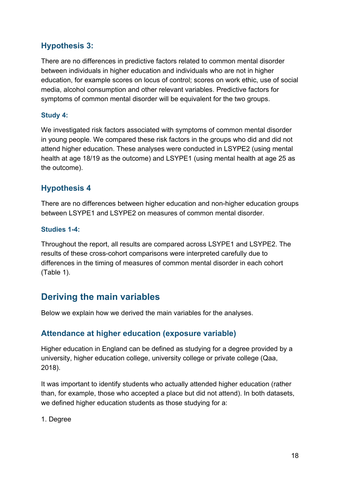#### <span id="page-17-0"></span>**Hypothesis 3:**

There are no differences in predictive factors related to common mental disorder between individuals in higher education and individuals who are not in higher education, for example scores on locus of control; scores on work ethic, use of social media, alcohol consumption and other relevant variables. Predictive factors for symptoms of common mental disorder will be equivalent for the two groups.

#### **Study 4:**

We investigated risk factors associated with symptoms of common mental disorder in young people. We compared these risk factors in the groups who did and did not attend higher education. These analyses were conducted in LSYPE2 (using mental health at age 18/19 as the outcome) and LSYPE1 (using mental health at age 25 as the outcome).

#### <span id="page-17-1"></span>**Hypothesis 4**

There are no differences between higher education and non-higher education groups between LSYPE1 and LSYPE2 on measures of common mental disorder.

#### **Studies 1-4:**

Throughout the report, all results are compared across LSYPE1 and LSYPE2. The results of these cross-cohort comparisons were interpreted carefully due to differences in the timing of measures of common mental disorder in each cohort (Table 1).

## <span id="page-17-2"></span>**Deriving the main variables**

Below we explain how we derived the main variables for the analyses.

#### <span id="page-17-3"></span>**Attendance at higher education (exposure variable)**

Higher education in England can be defined as studying for a degree provided by a university, higher education college, university college or private college (Qaa, 2018).

It was important to identify students who actually attended higher education (rather than, for example, those who accepted a place but did not attend). In both datasets, we defined higher education students as those studying for a:

1. Degree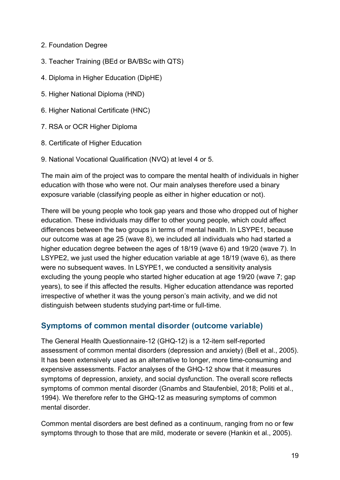- 2. Foundation Degree
- 3. Teacher Training (BEd or BA/BSc with QTS)
- 4. Diploma in Higher Education (DipHE)
- 5. Higher National Diploma (HND)
- 6. Higher National Certificate (HNC)
- 7. RSA or OCR Higher Diploma
- 8. Certificate of Higher Education
- 9. National Vocational Qualification (NVQ) at level 4 or 5.

The main aim of the project was to compare the mental health of individuals in higher education with those who were not. Our main analyses therefore used a binary exposure variable (classifying people as either in higher education or not).

There will be young people who took gap years and those who dropped out of higher education. These individuals may differ to other young people, which could affect differences between the two groups in terms of mental health. In LSYPE1, because our outcome was at age 25 (wave 8), we included all individuals who had started a higher education degree between the ages of 18/19 (wave 6) and 19/20 (wave 7). In LSYPE2, we just used the higher education variable at age 18/19 (wave 6), as there were no subsequent waves. In LSYPE1, we conducted a sensitivity analysis excluding the young people who started higher education at age 19/20 (wave 7; gap years), to see if this affected the results. Higher education attendance was reported irrespective of whether it was the young person's main activity, and we did not distinguish between students studying part-time or full-time.

#### <span id="page-18-0"></span>**Symptoms of common mental disorder (outcome variable)**

The General Health Questionnaire-12 (GHQ-12) is a 12-item self-reported assessment of common mental disorders (depression and anxiety) (Bell et al., 2005). It has been extensively used as an alternative to longer, more time-consuming and expensive assessments. Factor analyses of the GHQ-12 show that it measures symptoms of depression, anxiety, and social dysfunction. The overall score reflects symptoms of common mental disorder (Gnambs and Staufenbiel, 2018; Politi et al., 1994). We therefore refer to the GHQ-12 as measuring symptoms of common mental disorder.

Common mental disorders are best defined as a continuum, ranging from no or few symptoms through to those that are mild, moderate or severe (Hankin et al., 2005).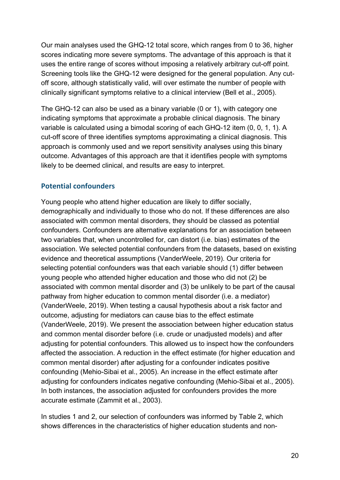Our main analyses used the GHQ-12 total score, which ranges from 0 to 36, higher scores indicating more severe symptoms. The advantage of this approach is that it uses the entire range of scores without imposing a relatively arbitrary cut-off point. Screening tools like the GHQ-12 were designed for the general population. Any cutoff score, although statistically valid, will over estimate the number of people with clinically significant symptoms relative to a clinical interview (Bell et al., 2005).

The GHQ-12 can also be used as a binary variable (0 or 1), with category one indicating symptoms that approximate a probable clinical diagnosis. The binary variable is calculated using a bimodal scoring of each GHQ-12 item (0, 0, 1, 1). A cut-off score of three identifies symptoms approximating a clinical diagnosis. This approach is commonly used and we report sensitivity analyses using this binary outcome. Advantages of this approach are that it identifies people with symptoms likely to be deemed clinical, and results are easy to interpret.

#### <span id="page-19-0"></span>**Potential confounders**

Young people who attend higher education are likely to differ socially, demographically and individually to those who do not. If these differences are also associated with common mental disorders, they should be classed as potential confounders. Confounders are alternative explanations for an association between two variables that, when uncontrolled for, can distort (i.e. bias) estimates of the association. We selected potential confounders from the datasets, based on existing evidence and theoretical assumptions (VanderWeele, 2019). Our criteria for selecting potential confounders was that each variable should (1) differ between young people who attended higher education and those who did not (2) be associated with common mental disorder and (3) be unlikely to be part of the causal pathway from higher education to common mental disorder (i.e. a mediator) (VanderWeele, 2019). When testing a causal hypothesis about a risk factor and outcome, adjusting for mediators can cause bias to the effect estimate (VanderWeele, 2019). We present the association between higher education status and common mental disorder before (i.e. crude or unadjusted models) and after adjusting for potential confounders. This allowed us to inspect how the confounders affected the association. A reduction in the effect estimate (for higher education and common mental disorder) after adjusting for a confounder indicates positive confounding (Mehio-Sibai et al., 2005). An increase in the effect estimate after adjusting for confounders indicates negative confounding (Mehio-Sibai et al., 2005). In both instances, the association adjusted for confounders provides the more accurate estimate (Zammit et al., 2003).

In studies 1 and 2, our selection of confounders was informed by Table 2, which shows differences in the characteristics of higher education students and non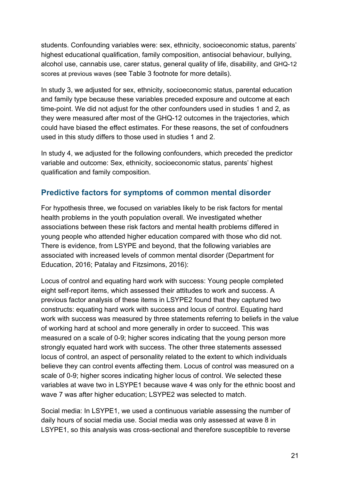students. Confounding variables were: sex, ethnicity, socioeconomic status, parents' highest educational qualification, family composition, antisocial behaviour, bullying, alcohol use, cannabis use, carer status, general quality of life, disability, and GHQ-12 scores at previous waves (see Table 3 footnote for more details).

In study 3, we adjusted for sex, ethnicity, socioeconomic status, parental education and family type because these variables preceded exposure and outcome at each time-point. We did not adjust for the other confounders used in studies 1 and 2, as they were measured after most of the GHQ-12 outcomes in the trajectories, which could have biased the effect estimates. For these reasons, the set of confoudners used in this study differs to those used in studies 1 and 2.

In study 4, we adjusted for the following confounders, which preceded the predictor variable and outcome: Sex, ethnicity, socioeconomic status, parents' highest qualification and family composition.

#### <span id="page-20-0"></span>**Predictive factors for symptoms of common mental disorder**

For hypothesis three, we focused on variables likely to be risk factors for mental health problems in the youth population overall. We investigated whether associations between these risk factors and mental health problems differed in young people who attended higher education compared with those who did not. There is evidence, from LSYPE and beyond, that the following variables are associated with increased levels of common mental disorder (Department for Education, 2016; Patalay and Fitzsimons, 2016):

Locus of control and equating hard work with success: Young people completed eight self-report items, which assessed their attitudes to work and success. A previous factor analysis of these items in LSYPE2 found that they captured two constructs: equating hard work with success and locus of control. Equating hard work with success was measured by three statements referring to beliefs in the value of working hard at school and more generally in order to succeed. This was measured on a scale of 0-9; higher scores indicating that the young person more strongly equated hard work with success. The other three statements assessed locus of control, an aspect of personality related to the extent to which individuals believe they can control events affecting them. Locus of control was measured on a scale of 0-9; higher scores indicating higher locus of control. We selected these variables at wave two in LSYPE1 because wave 4 was only for the ethnic boost and wave 7 was after higher education; LSYPE2 was selected to match.

Social media: In LSYPE1, we used a continuous variable assessing the number of daily hours of social media use. Social media was only assessed at wave 8 in LSYPE1, so this analysis was cross-sectional and therefore susceptible to reverse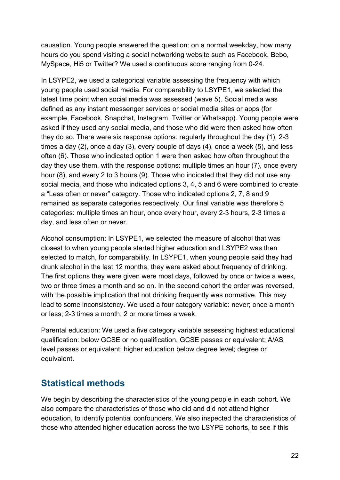causation. Young people answered the question: on a normal weekday, how many hours do you spend visiting a social networking website such as Facebook, Bebo, MySpace, Hi5 or Twitter? We used a continuous score ranging from 0-24.

In LSYPE2, we used a categorical variable assessing the frequency with which young people used social media. For comparability to LSYPE1, we selected the latest time point when social media was assessed (wave 5). Social media was defined as any instant messenger services or social media sites or apps (for example, Facebook, Snapchat, Instagram, Twitter or Whatsapp). Young people were asked if they used any social media, and those who did were then asked how often they do so. There were six response options: regularly throughout the day (1), 2-3 times a day (2), once a day (3), every couple of days (4), once a week (5), and less often (6). Those who indicated option 1 were then asked how often throughout the day they use them, with the response options: multiple times an hour (7), once every hour (8), and every 2 to 3 hours (9). Those who indicated that they did not use any social media, and those who indicated options 3, 4, 5 and 6 were combined to create a "Less often or never" category. Those who indicated options 2, 7, 8 and 9 remained as separate categories respectively. Our final variable was therefore 5 categories: multiple times an hour, once every hour, every 2-3 hours, 2-3 times a day, and less often or never.

Alcohol consumption: In LSYPE1, we selected the measure of alcohol that was closest to when young people started higher education and LSYPE2 was then selected to match, for comparability. In LSYPE1, when young people said they had drunk alcohol in the last 12 months, they were asked about frequency of drinking. The first options they were given were most days, followed by once or twice a week, two or three times a month and so on. In the second cohort the order was reversed, with the possible implication that not drinking frequently was normative. This may lead to some inconsistency. We used a four category variable: never; once a month or less; 2-3 times a month; 2 or more times a week.

Parental education: We used a five category variable assessing highest educational qualification: below GCSE or no qualification, GCSE passes or equivalent; A/AS level passes or equivalent; higher education below degree level; degree or equivalent.

## <span id="page-21-0"></span>**Statistical methods**

We begin by describing the characteristics of the young people in each cohort. We also compare the characteristics of those who did and did not attend higher education, to identify potential confounders. We also inspected the characteristics of those who attended higher education across the two LSYPE cohorts, to see if this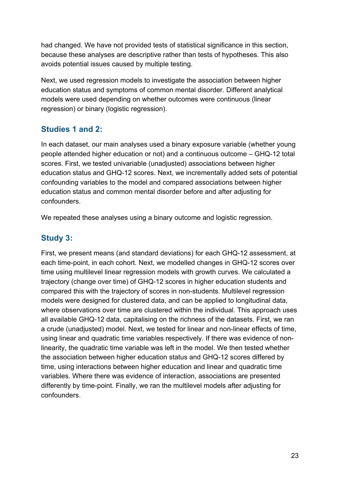had changed. We have not provided tests of statistical significance in this section, because these analyses are descriptive rather than tests of hypotheses. This also avoids potential issues caused by multiple testing.

Next, we used regression models to investigate the association between higher education status and symptoms of common mental disorder. Different analytical models were used depending on whether outcomes were continuous (linear regression) or binary (logistic regression).

#### <span id="page-22-0"></span>**Studies 1 and 2:**

In each dataset, our main analyses used a binary exposure variable (whether young people attended higher education or not) and a continuous outcome – GHQ-12 total scores. First, we tested univariable (unadjusted) associations between higher education status and GHQ-12 scores. Next, we incrementally added sets of potential confounding variables to the model and compared associations between higher education status and common mental disorder before and after adjusting for confounders.

We repeated these analyses using a binary outcome and logistic regression.

#### <span id="page-22-1"></span>**Study 3:**

First, we present means (and standard deviations) for each GHQ-12 assessment, at each time-point, in each cohort. Next, we modelled changes in GHQ-12 scores over time using multilevel linear regression models with growth curves. We calculated a trajectory (change over time) of GHQ-12 scores in higher education students and compared this with the trajectory of scores in non-students. Multilevel regression models were designed for clustered data, and can be applied to longitudinal data, where observations over time are clustered within the individual. This approach uses all available GHQ-12 data, capitalising on the richness of the datasets. First, we ran a crude (unadjusted) model. Next, we tested for linear and non-linear effects of time, using linear and quadratic time variables respectively. If there was evidence of nonlinearity, the quadratic time variable was left in the model. We then tested whether the association between higher education status and GHQ-12 scores differed by time, using interactions between higher education and linear and quadratic time variables. Where there was evidence of interaction, associations are presented differently by time-point. Finally, we ran the multilevel models after adjusting for confounders.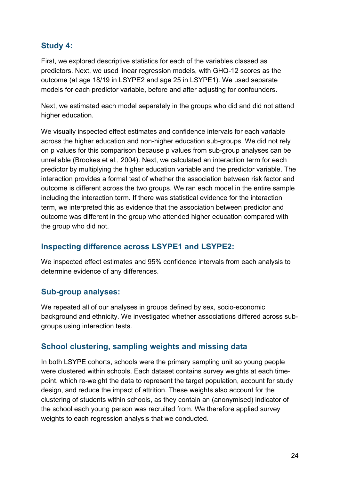#### <span id="page-23-0"></span>**Study 4:**

First, we explored descriptive statistics for each of the variables classed as predictors. Next, we used linear regression models, with GHQ-12 scores as the outcome (at age 18/19 in LSYPE2 and age 25 in LSYPE1). We used separate models for each predictor variable, before and after adjusting for confounders.

Next, we estimated each model separately in the groups who did and did not attend higher education.

We visually inspected effect estimates and confidence intervals for each variable across the higher education and non-higher education sub-groups. We did not rely on p values for this comparison because p values from sub-group analyses can be unreliable (Brookes et al., 2004). Next, we calculated an interaction term for each predictor by multiplying the higher education variable and the predictor variable. The interaction provides a formal test of whether the association between risk factor and outcome is different across the two groups. We ran each model in the entire sample including the interaction term. If there was statistical evidence for the interaction term, we interpreted this as evidence that the association between predictor and outcome was different in the group who attended higher education compared with the group who did not.

#### <span id="page-23-1"></span>**Inspecting difference across LSYPE1 and LSYPE2:**

We inspected effect estimates and 95% confidence intervals from each analysis to determine evidence of any differences.

#### <span id="page-23-2"></span>**Sub-group analyses:**

We repeated all of our analyses in groups defined by sex, socio-economic background and ethnicity. We investigated whether associations differed across subgroups using interaction tests.

#### <span id="page-23-3"></span>**School clustering, sampling weights and missing data**

In both LSYPE cohorts, schools were the primary sampling unit so young people were clustered within schools. Each dataset contains survey weights at each timepoint, which re-weight the data to represent the target population, account for study design, and reduce the impact of attrition. These weights also account for the clustering of students within schools, as they contain an (anonymised) indicator of the school each young person was recruited from. We therefore applied survey weights to each regression analysis that we conducted.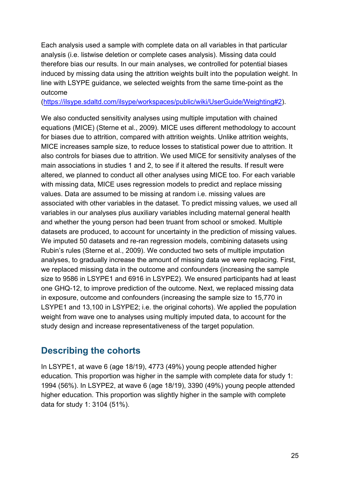Each analysis used a sample with complete data on all variables in that particular analysis (i.e. listwise deletion or complete cases analysis). Missing data could therefore bias our results. In our main analyses, we controlled for potential biases induced by missing data using the attrition weights built into the population weight. In line with LSYPE guidance, we selected weights from the same time-point as the outcome

[\(https://ilsype.sdaltd.com/ilsype/workspaces/public/wiki/UserGuide/Weighting#2\)](https://ilsype.sdaltd.com/ilsype/workspaces/public/wiki/UserGuide/Weighting#2).

We also conducted sensitivity analyses using multiple imputation with chained equations (MICE) (Sterne et al., 2009). MICE uses different methodology to account for biases due to attrition, compared with attrition weights. Unlike attrition weights, MICE increases sample size, to reduce losses to statistical power due to attrition. It also controls for biases due to attrition. We used MICE for sensitivity analyses of the main associations in studies 1 and 2, to see if it altered the results. If result were altered, we planned to conduct all other analyses using MICE too. For each variable with missing data, MICE uses regression models to predict and replace missing values. Data are assumed to be missing at random i.e. missing values are associated with other variables in the dataset. To predict missing values, we used all variables in our analyses plus auxiliary variables including maternal general health and whether the young person had been truant from school or smoked. Multiple datasets are produced, to account for uncertainty in the prediction of missing values. We imputed 50 datasets and re-ran regression models, combining datasets using Rubin's rules (Sterne et al., 2009). We conducted two sets of multiple imputation analyses, to gradually increase the amount of missing data we were replacing. First, we replaced missing data in the outcome and confounders (increasing the sample size to 9586 in LSYPE1 and 6916 in LSYPE2). We ensured participants had at least one GHQ-12, to improve prediction of the outcome. Next, we replaced missing data in exposure, outcome and confounders (increasing the sample size to 15,770 in LSYPE1 and 13,100 in LSYPE2; i.e. the original cohorts). We applied the population weight from wave one to analyses using multiply imputed data, to account for the study design and increase representativeness of the target population.

## <span id="page-24-0"></span>**Describing the cohorts**

In LSYPE1, at wave 6 (age 18/19), 4773 (49%) young people attended higher education. This proportion was higher in the sample with complete data for study 1: 1994 (56%). In LSYPE2, at wave 6 (age 18/19), 3390 (49%) young people attended higher education. This proportion was slightly higher in the sample with complete data for study 1: 3104 (51%).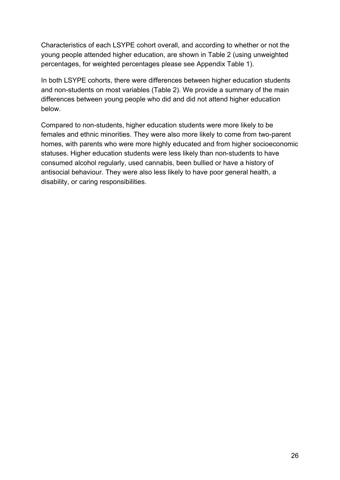Characteristics of each LSYPE cohort overall, and according to whether or not the young people attended higher education, are shown in Table 2 (using unweighted percentages, for weighted percentages please see Appendix Table 1).

In both LSYPE cohorts, there were differences between higher education students and non-students on most variables (Table 2). We provide a summary of the main differences between young people who did and did not attend higher education below.

Compared to non-students, higher education students were more likely to be females and ethnic minorities. They were also more likely to come from two-parent homes, with parents who were more highly educated and from higher socioeconomic statuses. Higher education students were less likely than non-students to have consumed alcohol regularly, used cannabis, been bullied or have a history of antisocial behaviour. They were also less likely to have poor general health, a disability, or caring responsibilities.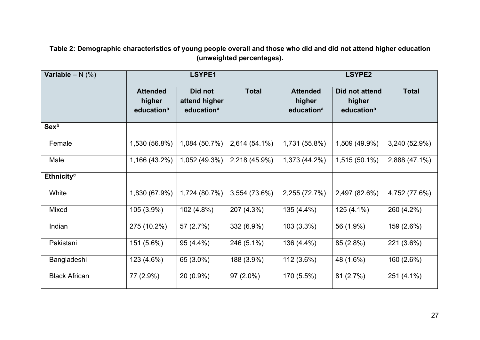**Table 2: Demographic characteristics of young people overall and those who did and did not attend higher education (unweighted percentages).**

<span id="page-26-0"></span>

| <b>Variable</b> – $N$ (%) | <b>LSYPE1</b>                                       |                                                    |               | <b>LSYPE2</b>                                       |                                                    |               |
|---------------------------|-----------------------------------------------------|----------------------------------------------------|---------------|-----------------------------------------------------|----------------------------------------------------|---------------|
|                           | <b>Attended</b><br>higher<br>education <sup>a</sup> | Did not<br>attend higher<br>education <sup>a</sup> | <b>Total</b>  | <b>Attended</b><br>higher<br>education <sup>a</sup> | Did not attend<br>higher<br>education <sup>a</sup> | <b>Total</b>  |
| <b>Sex</b> b              |                                                     |                                                    |               |                                                     |                                                    |               |
| Female                    | 1,530 (56.8%)                                       | 1,084 (50.7%)                                      | 2,614 (54.1%) | 1,731 (55.8%)                                       | 1,509 (49.9%)                                      | 3,240 (52.9%) |
| Male                      | 1,166 (43.2%)                                       | 1,052 (49.3%)                                      | 2,218 (45.9%) | 1,373 (44.2%)                                       | 1,515 (50.1%)                                      | 2,888 (47.1%) |
| Ethnicity <sup>c</sup>    |                                                     |                                                    |               |                                                     |                                                    |               |
| White                     | 1,830 (67.9%)                                       | 1,724 (80.7%)                                      | 3,554 (73.6%) | 2,255 (72.7%)                                       | 2,497 (82.6%)                                      | 4,752 (77.6%) |
| <b>Mixed</b>              | 105 (3.9%)                                          | 102 (4.8%)                                         | 207 (4.3%)    | 135 (4.4%)                                          | 125 (4.1%)                                         | 260 (4.2%)    |
| Indian                    | 275 (10.2%)                                         | 57 (2.7%)                                          | 332 (6.9%)    | 103 (3.3%)                                          | 56 (1.9%)                                          | 159 (2.6%)    |
| Pakistani                 | 151 (5.6%)                                          | 95 (4.4%)                                          | 246 (5.1%)    | 136 (4.4%)                                          | 85 (2.8%)                                          | 221 (3.6%)    |
| Bangladeshi               | 123 (4.6%)                                          | 65 (3.0%)                                          | 188 (3.9%)    | 112 (3.6%)                                          | 48 (1.6%)                                          | 160 (2.6%)    |
| <b>Black African</b>      | 77 (2.9%)                                           | 20 (0.9%)                                          | 97 (2.0%)     | 170 (5.5%)                                          | 81 (2.7%)                                          | 251 (4.1%)    |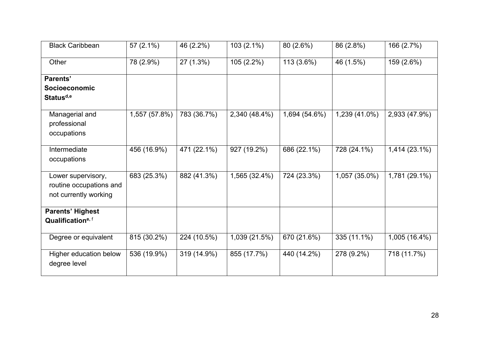| <b>Black Caribbean</b>                                                 | $57(2.1\%)$   | 46 (2.2%)   | $103(2.1\%)$  | 80 (2.6%)     | 86 (2.8%)     | 166 (2.7%)    |
|------------------------------------------------------------------------|---------------|-------------|---------------|---------------|---------------|---------------|
| Other                                                                  | 78 (2.9%)     | 27 (1.3%)   | 105(2.2%)     | 113 (3.6%)    | 46 (1.5%)     | 159 (2.6%)    |
| <b>Parents'</b>                                                        |               |             |               |               |               |               |
| Socioeconomic                                                          |               |             |               |               |               |               |
| Status <sup>d,e</sup>                                                  |               |             |               |               |               |               |
| Managerial and<br>professional<br>occupations                          | 1,557 (57.8%) | 783 (36.7%) | 2,340 (48.4%) | 1,694 (54.6%) | 1,239 (41.0%) | 2,933 (47.9%) |
|                                                                        |               |             |               |               |               |               |
| Intermediate<br>occupations                                            | 456 (16.9%)   | 471 (22.1%) | 927 (19.2%)   | 686 (22.1%)   | 728 (24.1%)   | 1,414 (23.1%) |
| Lower supervisory,<br>routine occupations and<br>not currently working | 683 (25.3%)   | 882 (41.3%) | 1,565 (32.4%) | 724 (23.3%)   | 1,057 (35.0%) | 1,781 (29.1%) |
| <b>Parents' Highest</b>                                                |               |             |               |               |               |               |
| Qualification <sup>e, f</sup>                                          |               |             |               |               |               |               |
| Degree or equivalent                                                   | 815 (30.2%)   | 224 (10.5%) | 1,039 (21.5%) | 670 (21.6%)   | 335 (11.1%)   | 1,005 (16.4%) |
| Higher education below<br>degree level                                 | 536 (19.9%)   | 319 (14.9%) | 855 (17.7%)   | 440 (14.2%)   | 278 (9.2%)    | 718 (11.7%)   |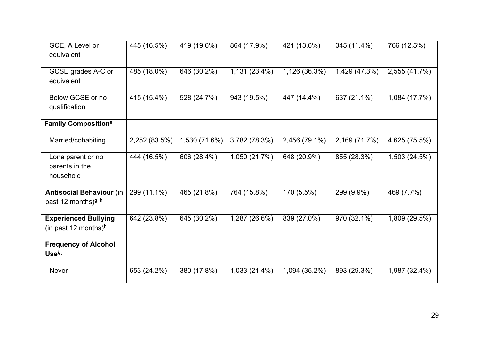| GCE, A Level or<br>equivalent                                      | 445 (16.5%)   | 419 (19.6%)   | 864 (17.9%)   | 421 (13.6%)   | 345 (11.4%)   | 766 (12.5%)   |
|--------------------------------------------------------------------|---------------|---------------|---------------|---------------|---------------|---------------|
| GCSE grades A-C or<br>equivalent                                   | 485 (18.0%)   | 646 (30.2%)   | 1,131 (23.4%) | 1,126 (36.3%) | 1,429 (47.3%) | 2,555 (41.7%) |
| Below GCSE or no<br>qualification                                  | 415 (15.4%)   | 528 (24.7%)   | 943 (19.5%)   | 447 (14.4%)   | 637 (21.1%)   | 1,084 (17.7%) |
| <b>Family Composition<sup>e</sup></b>                              |               |               |               |               |               |               |
| Married/cohabiting                                                 | 2,252 (83.5%) | 1,530 (71.6%) | 3,782 (78.3%) | 2,456 (79.1%) | 2,169 (71.7%) | 4,625 (75.5%) |
| Lone parent or no<br>parents in the<br>household                   | 444 (16.5%)   | 606 (28.4%)   | 1,050 (21.7%) | 648 (20.9%)   | 855 (28.3%)   | 1,503 (24.5%) |
| <b>Antisocial Behaviour (in</b><br>past 12 months) <sup>g, h</sup> | 299 (11.1%)   | 465 (21.8%)   | 764 (15.8%)   | 170 (5.5%)    | 299 (9.9%)    | 469 (7.7%)    |
| <b>Experienced Bullying</b><br>(in past 12 months) <sup>h</sup>    | 642 (23.8%)   | 645 (30.2%)   | 1,287 (26.6%) | 839 (27.0%)   | 970 (32.1%)   | 1,809 (29.5%) |
| <b>Frequency of Alcohol</b><br>Use <sup>i, j</sup>                 |               |               |               |               |               |               |
| <b>Never</b>                                                       | 653 (24.2%)   | 380 (17.8%)   | 1,033 (21.4%) | 1,094 (35.2%) | 893 (29.3%)   | 1,987 (32.4%) |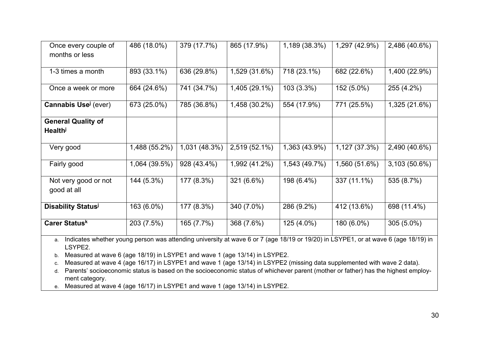| Once every couple of<br>months or less                                                                                                              | 486 (18.0%)   | 379 (17.7%)   | 865 (17.9%)   | 1,189 (38.3%) | 1,297 (42.9%) | 2,486 (40.6%) |
|-----------------------------------------------------------------------------------------------------------------------------------------------------|---------------|---------------|---------------|---------------|---------------|---------------|
| 1-3 times a month                                                                                                                                   | 893 (33.1%)   | 636 (29.8%)   | 1,529 (31.6%) | 718 (23.1%)   | 682 (22.6%)   | 1,400 (22.9%) |
| Once a week or more                                                                                                                                 | 664 (24.6%)   | 741 (34.7%)   | 1,405 (29.1%) | 103(3.3%)     | 152 (5.0%)    | 255 (4.2%)    |
| <b>Cannabis Use</b> (ever)                                                                                                                          | 673 (25.0%)   | 785 (36.8%)   | 1,458 (30.2%) | 554 (17.9%)   | 771 (25.5%)   | 1,325 (21.6%) |
| <b>General Quality of</b>                                                                                                                           |               |               |               |               |               |               |
| <b>Health</b>                                                                                                                                       |               |               |               |               |               |               |
| Very good                                                                                                                                           | 1,488 (55.2%) | 1,031 (48.3%) | 2,519 (52.1%) | 1,363 (43.9%) | 1,127 (37.3%) | 2,490 (40.6%) |
| Fairly good                                                                                                                                         | 1,064 (39.5%) | 928 (43.4%)   | 1,992 (41.2%) | 1,543 (49.7%) | 1,560 (51.6%) | 3,103 (50.6%) |
| Not very good or not<br>good at all                                                                                                                 | 144 (5.3%)    | 177 (8.3%)    | 321 (6.6%)    | 198 (6.4%)    | 337 (11.1%)   | 535 (8.7%)    |
| <b>Disability Status</b>                                                                                                                            | 163 (6.0%)    | 177 (8.3%)    | 340 (7.0%)    | 286 (9.2%)    | 412 (13.6%)   | 698 (11.4%)   |
| Carer Status <sup>k</sup>                                                                                                                           | 203 (7.5%)    | 165 (7.7%)    | 368 (7.6%)    | 125 (4.0%)    | 180 (6.0%)    | 305 (5.0%)    |
| Indicates whether young person was attending university at wave 6 or 7 (age 18/19 or 19/20) in LSYPE1, or at wave 6 (age 18/19) in<br>а.<br>LSYPE2. |               |               |               |               |               |               |

b. Measured at wave 6 (age 18/19) in LSYPE1 and wave 1 (age 13/14) in LSYPE2.

c. Measured at wave 4 (age 16/17) in LSYPE1 and wave 1 (age 13/14) in LSYPE2 (missing data supplemented with wave 2 data).

d. Parents' socioeconomic status is based on the socioeconomic status of whichever parent (mother or father) has the highest employment category.

e. Measured at wave 4 (age 16/17) in LSYPE1 and wave 1 (age 13/14) in LSYPE2.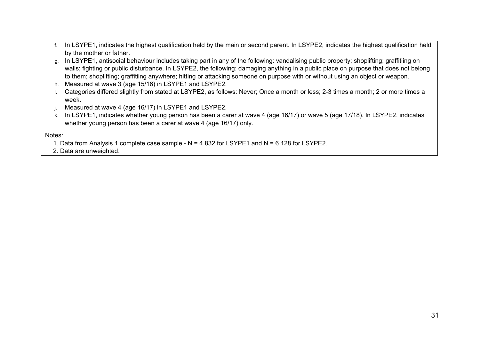- f. In LSYPE1, indicates the highest qualification held by the main or second parent. In LSYPE2, indicates the highest qualification held by the mother or father.
- g. In LSYPE1, antisocial behaviour includes taking part in any of the following: vandalising public property; shoplifting; graffitiing on walls; fighting or public disturbance. In LSYPE2, the following: damaging anything in a public place on purpose that does not belong to them; shoplifting; graffitiing anywhere; hitting or attacking someone on purpose with or without using an object or weapon.
- h. Measured at wave 3 (age 15/16) in LSYPE1 and LSYPE2.
- i. Categories differed slightly from stated at LSYPE2, as follows: Never; Once a month or less; 2-3 times a month; 2 or more times a week.
- j. Measured at wave 4 (age 16/17) in LSYPE1 and LSYPE2.
- k. In LSYPE1, indicates whether young person has been a carer at wave 4 (age 16/17) or wave 5 (age 17/18). In LSYPE2, indicates whether young person has been a carer at wave 4 (age 16/17) only.

Notes:

1. Data from Analysis 1 complete case sample - N = 4,832 for LSYPE1 and N = 6,128 for LSYPE2.

2. Data are unweighted.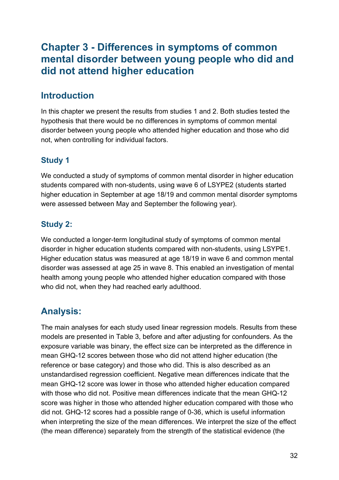## <span id="page-31-0"></span>**Chapter 3 - Differences in symptoms of common mental disorder between young people who did and did not attend higher education**

## <span id="page-31-1"></span>**Introduction**

In this chapter we present the results from studies 1 and 2. Both studies tested the hypothesis that there would be no differences in symptoms of common mental disorder between young people who attended higher education and those who did not, when controlling for individual factors.

#### <span id="page-31-2"></span>**Study 1**

We conducted a study of symptoms of common mental disorder in higher education students compared with non-students, using wave 6 of LSYPE2 (students started higher education in September at age 18/19 and common mental disorder symptoms were assessed between May and September the following year).

#### <span id="page-31-3"></span>**Study 2:**

We conducted a longer-term longitudinal study of symptoms of common mental disorder in higher education students compared with non-students, using LSYPE1. Higher education status was measured at age 18/19 in wave 6 and common mental disorder was assessed at age 25 in wave 8. This enabled an investigation of mental health among young people who attended higher education compared with those who did not, when they had reached early adulthood.

# <span id="page-31-4"></span>**Analysis:**

The main analyses for each study used linear regression models. Results from these models are presented in Table 3, before and after adjusting for confounders. As the exposure variable was binary, the effect size can be interpreted as the difference in mean GHQ-12 scores between those who did not attend higher education (the reference or base category) and those who did. This is also described as an unstandardised regression coefficient. Negative mean differences indicate that the mean GHQ-12 score was lower in those who attended higher education compared with those who did not. Positive mean differences indicate that the mean GHQ-12 score was higher in those who attended higher education compared with those who did not. GHQ-12 scores had a possible range of 0-36, which is useful information when interpreting the size of the mean differences. We interpret the size of the effect (the mean difference) separately from the strength of the statistical evidence (the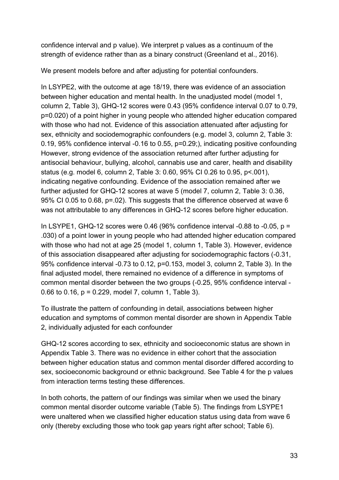confidence interval and p value). We interpret p values as a continuum of the strength of evidence rather than as a binary construct (Greenland et al., 2016).

We present models before and after adjusting for potential confounders.

In LSYPE2, with the outcome at age 18/19, there was evidence of an association between higher education and mental health. In the unadjusted model (model 1, column 2, Table 3), GHQ-12 scores were 0.43 (95% confidence interval 0.07 to 0.79, p=0.020) of a point higher in young people who attended higher education compared with those who had not. Evidence of this association attenuated after adjusting for sex, ethnicity and sociodemographic confounders (e.g. model 3, column 2, Table 3: 0.19, 95% confidence interval -0.16 to 0.55, p=0.29;), indicating positive confounding However, strong evidence of the association returned after further adjusting for antisocial behaviour, bullying, alcohol, cannabis use and carer, health and disability status (e.g. model 6, column 2, Table 3: 0.60, 95% CI 0.26 to 0.95, p<.001), indicating negative confounding. Evidence of the association remained after we further adjusted for GHQ-12 scores at wave 5 (model 7, column 2, Table 3: 0.36, 95% CI 0.05 to 0.68, p=.02). This suggests that the difference observed at wave 6 was not attributable to any differences in GHQ-12 scores before higher education.

In LSYPE1, GHQ-12 scores were 0.46 (96% confidence interval -0.88 to -0.05,  $p =$ .030) of a point lower in young people who had attended higher education compared with those who had not at age 25 (model 1, column 1, Table 3). However, evidence of this association disappeared after adjusting for sociodemographic factors (-0.31, 95% confidence interval -0.73 to 0.12, p=0.153, model 3, column 2, Table 3). In the final adjusted model, there remained no evidence of a difference in symptoms of common mental disorder between the two groups (-0.25, 95% confidence interval - 0.66 to 0.16, p = 0.229, model 7, column 1, Table 3).

To illustrate the pattern of confounding in detail, associations between higher education and symptoms of common mental disorder are shown in Appendix Table 2, individually adjusted for each confounder

GHQ-12 scores according to sex, ethnicity and socioeconomic status are shown in Appendix Table 3. There was no evidence in either cohort that the association between higher education status and common mental disorder differed according to sex, socioeconomic background or ethnic background. See Table 4 for the p values from interaction terms testing these differences.

In both cohorts, the pattern of our findings was similar when we used the binary common mental disorder outcome variable (Table 5). The findings from LSYPE1 were unaltered when we classified higher education status using data from wave 6 only (thereby excluding those who took gap years right after school; Table 6).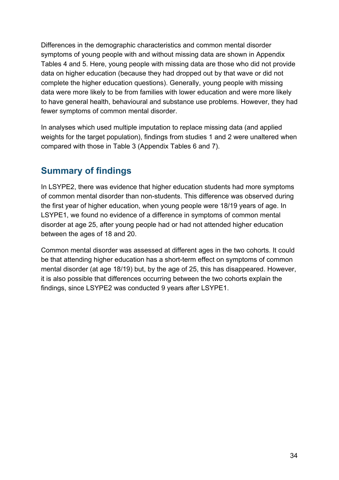Differences in the demographic characteristics and common mental disorder symptoms of young people with and without missing data are shown in Appendix Tables 4 and 5. Here, young people with missing data are those who did not provide data on higher education (because they had dropped out by that wave or did not complete the higher education questions). Generally, young people with missing data were more likely to be from families with lower education and were more likely to have general health, behavioural and substance use problems. However, they had fewer symptoms of common mental disorder.

In analyses which used multiple imputation to replace missing data (and applied weights for the target population), findings from studies 1 and 2 were unaltered when compared with those in Table 3 (Appendix Tables 6 and 7).

## <span id="page-33-0"></span>**Summary of findings**

In LSYPE2, there was evidence that higher education students had more symptoms of common mental disorder than non-students. This difference was observed during the first year of higher education, when young people were 18/19 years of age. In LSYPE1, we found no evidence of a difference in symptoms of common mental disorder at age 25, after young people had or had not attended higher education between the ages of 18 and 20.

Common mental disorder was assessed at different ages in the two cohorts. It could be that attending higher education has a short-term effect on symptoms of common mental disorder (at age 18/19) but, by the age of 25, this has disappeared. However, it is also possible that differences occurring between the two cohorts explain the findings, since LSYPE2 was conducted 9 years after LSYPE1.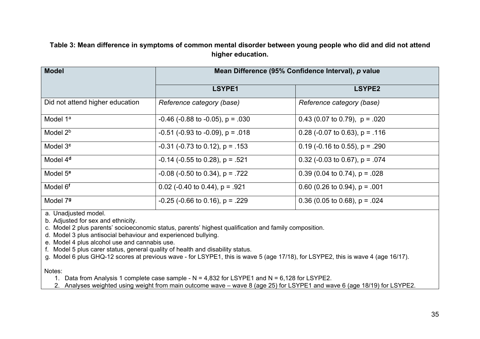**Table 3: Mean difference in symptoms of common mental disorder between young people who did and did not attend higher education.**

| <b>Model</b>                    | Mean Difference (95% Confidence Interval), p value |                                  |  |  |  |  |
|---------------------------------|----------------------------------------------------|----------------------------------|--|--|--|--|
|                                 | LSYPE1                                             | <b>LSYPE2</b>                    |  |  |  |  |
| Did not attend higher education | Reference category (base)                          | Reference category (base)        |  |  |  |  |
| Model 1 <sup>a</sup>            | $-0.46$ ( $-0.88$ to $-0.05$ ), p = .030           | 0.43 (0.07 to 0.79), $p = .020$  |  |  |  |  |
| Model 2 <sup>b</sup>            | $-0.51$ ( $-0.93$ to $-0.09$ ), p = .018           | 0.28 (-0.07 to 0.63), $p = .116$ |  |  |  |  |
| Model 3 <sup>c</sup>            | $-0.31$ ( $-0.73$ to 0.12), p = .153               | 0.19 (-0.16 to 0.55), $p = .290$ |  |  |  |  |
| Model 4 <sup>d</sup>            | $-0.14$ ( $-0.55$ to 0.28), p = .521               | 0.32 (-0.03 to 0.67), $p = .074$ |  |  |  |  |
| Model 5 <sup>e</sup>            | $-0.08$ ( $-0.50$ to 0.34), p = .722               | 0.39 (0.04 to 0.74), $p = .028$  |  |  |  |  |
| Model 6 <sup>f</sup>            | 0.02 (-0.40 to 0.44), $p = .921$                   | 0.60 (0.26 to 0.94), $p = .001$  |  |  |  |  |
| Model 79                        | $-0.25$ ( $-0.66$ to 0.16), p = .229               | 0.36 (0.05 to 0.68), $p = .024$  |  |  |  |  |

<span id="page-34-0"></span>a. Unadjusted model.

b. Adjusted for sex and ethnicity.

c. Model 2 plus parents' socioeconomic status, parents' highest qualification and family composition.

d. Model 3 plus antisocial behaviour and experienced bullying.

e. Model 4 plus alcohol use and cannabis use.

f. Model 5 plus carer status, general quality of health and disability status.

g. Model 6 plus GHQ-12 scores at previous wave - for LSYPE1, this is wave 5 (age 17/18), for LSYPE2, this is wave 4 (age 16/17).

Notes:

1. Data from Analysis 1 complete case sample - N = 4,832 for LSYPE1 and N = 6,128 for LSYPE2.

2. Analyses weighted using weight from main outcome wave – wave 8 (age 25) for LSYPE1 and wave 6 (age 18/19) for LSYPE2.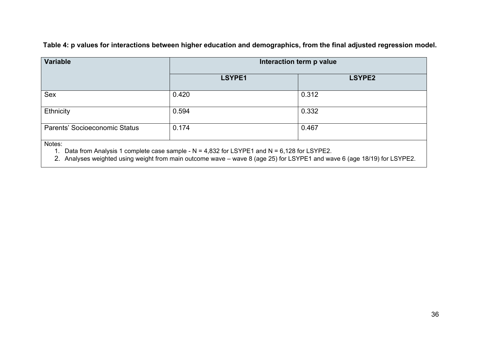**Table 4: p values for interactions between higher education and demographics, from the final adjusted regression model.**

| <b>Variable</b>               | Interaction term p value |               |  |  |
|-------------------------------|--------------------------|---------------|--|--|
|                               | LSYPE1                   | <b>LSYPE2</b> |  |  |
| Sex                           | 0.420                    | 0.312         |  |  |
| Ethnicity                     | 0.594                    | 0.332         |  |  |
| Parents' Socioeconomic Status | 0.174                    | 0.467         |  |  |
| Notes:                        |                          |               |  |  |

1. Data from Analysis 1 complete case sample - N = 4,832 for LSYPE1 and N = 6,128 for LSYPE2.

<span id="page-35-0"></span>2. Analyses weighted using weight from main outcome wave – wave 8 (age 25) for LSYPE1 and wave 6 (age 18/19) for LSYPE2.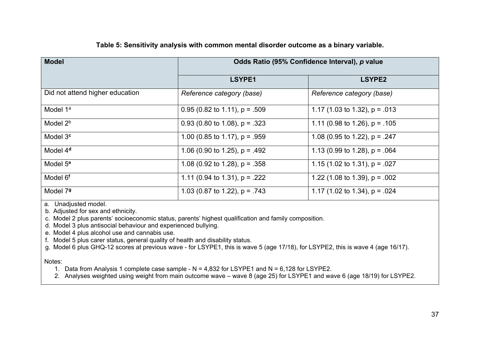| <b>Model</b>                    | Odds Ratio (95% Confidence Interval), p value |                                 |  |  |
|---------------------------------|-----------------------------------------------|---------------------------------|--|--|
|                                 | LSYPE1                                        | LSYPE2                          |  |  |
| Did not attend higher education | Reference category (base)                     | Reference category (base)       |  |  |
| Model 1 <sup>a</sup>            | 0.95 (0.82 to 1.11), $p = .509$               | 1.17 (1.03 to 1.32), $p = .013$ |  |  |
| Model 2 <sup>b</sup>            | 0.93 (0.80 to 1.08), $p = .323$               | 1.11 (0.98 to 1.26), $p = .105$ |  |  |
| Model 3 <sup>c</sup>            | 1.00 (0.85 to 1.17), $p = .959$               | 1.08 (0.95 to 1.22), $p = .247$ |  |  |
| Model 4 <sup>d</sup>            | 1.06 (0.90 to 1.25), $p = .492$               | 1.13 (0.99 to 1.28), $p = .064$ |  |  |
| Model 5 <sup>e</sup>            | 1.08 (0.92 to 1.28), $p = .358$               | 1.15 (1.02 to 1.31), $p = .027$ |  |  |
| Model 6 <sup>f</sup>            | 1.11 (0.94 to 1.31), $p = .222$               | 1.22 (1.08 to 1.39), $p = .002$ |  |  |
| Model 79                        | 1.03 (0.87 to 1.22), $p = .743$               | 1.17 (1.02 to 1.34), $p = .024$ |  |  |

a. Unadjusted model.

b. Adjusted for sex and ethnicity.

c. Model 2 plus parents' socioeconomic status, parents' highest qualification and family composition.

d. Model 3 plus antisocial behaviour and experienced bullying.

e. Model 4 plus alcohol use and cannabis use.

f. Model 5 plus carer status, general quality of health and disability status.

g. Model 6 plus GHQ-12 scores at previous wave - for LSYPE1, this is wave 5 (age 17/18), for LSYPE2, this is wave 4 (age 16/17).

Notes:

1. Data from Analysis 1 complete case sample - N = 4,832 for LSYPE1 and N = 6,128 for LSYPE2.

2. Analyses weighted using weight from main outcome wave – wave 8 (age 25) for LSYPE1 and wave 6 (age 18/19) for LSYPE2.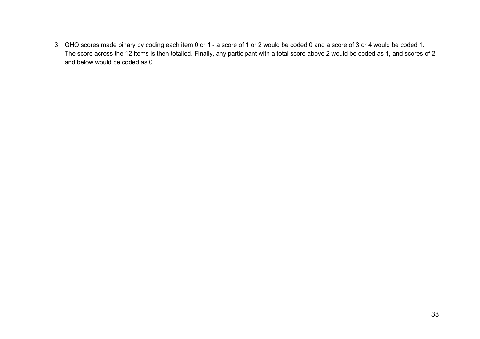3. GHQ scores made binary by coding each item 0 or 1 - a score of 1 or 2 would be coded 0 and a score of 3 or 4 would be coded 1. The score across the 12 items is then totalled. Finally, any participant with a total score above 2 would be coded as 1, and scores of 2 and below would be coded as 0.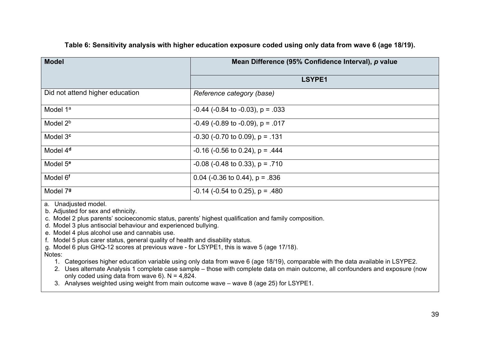| <b>Model</b>                    | Mean Difference (95% Confidence Interval), p value |  |  |
|---------------------------------|----------------------------------------------------|--|--|
|                                 | LSYPE1                                             |  |  |
| Did not attend higher education | Reference category (base)                          |  |  |
| Model 1 <sup>a</sup>            | $-0.44$ ( $-0.84$ to $-0.03$ ), p = 0.033          |  |  |
| Model 2 <sup>b</sup>            | $-0.49$ ( $-0.89$ to $-0.09$ ), p = .017           |  |  |
| Model 3 <sup>c</sup>            | $-0.30$ ( $-0.70$ to 0.09), p = .131               |  |  |
| Model 4 <sup>d</sup>            | $-0.16$ ( $-0.56$ to 0.24), p = .444               |  |  |
| Model 5 <sup>e</sup>            | $-0.08$ ( $-0.48$ to 0.33), p = .710               |  |  |
| Model 6 <sup>f</sup>            | 0.04 (-0.36 to 0.44), $p = 836$                    |  |  |
| Model 79                        | $-0.14$ ( $-0.54$ to 0.25), p = .480               |  |  |

#### **Table 6: Sensitivity analysis with higher education exposure coded using only data from wave 6 (age 18/19).**

a. Unadjusted model.

b. Adjusted for sex and ethnicity.

c. Model 2 plus parents' socioeconomic status, parents' highest qualification and family composition.

d. Model 3 plus antisocial behaviour and experienced bullying.

e. Model 4 plus alcohol use and cannabis use.

f. Model 5 plus carer status, general quality of health and disability status.

g. Model 6 plus GHQ-12 scores at previous wave - for LSYPE1, this is wave 5 (age 17/18).

#### Notes:

- 1. Categorises higher education variable using only data from wave 6 (age 18/19), comparable with the data available in LSYPE2.
- 2. Uses alternate Analysis 1 complete case sample those with complete data on main outcome, all confounders and exposure (now only coded using data from wave  $6$ ). N = 4,824.

3. Analyses weighted using weight from main outcome wave – wave 8 (age 25) for LSYPE1.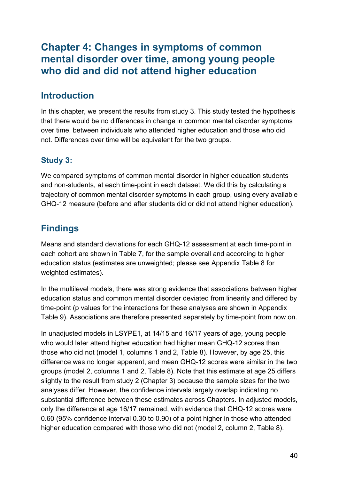### **Chapter 4: Changes in symptoms of common mental disorder over time, among young people who did and did not attend higher education**

### **Introduction**

In this chapter, we present the results from study 3. This study tested the hypothesis that there would be no differences in change in common mental disorder symptoms over time, between individuals who attended higher education and those who did not. Differences over time will be equivalent for the two groups.

### **Study 3:**

We compared symptoms of common mental disorder in higher education students and non-students, at each time-point in each dataset. We did this by calculating a trajectory of common mental disorder symptoms in each group, using every available GHQ-12 measure (before and after students did or did not attend higher education).

### **Findings**

Means and standard deviations for each GHQ-12 assessment at each time-point in each cohort are shown in Table 7, for the sample overall and according to higher education status (estimates are unweighted; please see Appendix Table 8 for weighted estimates).

In the multilevel models, there was strong evidence that associations between higher education status and common mental disorder deviated from linearity and differed by time-point (p values for the interactions for these analyses are shown in Appendix Table 9). Associations are therefore presented separately by time-point from now on.

In unadjusted models in LSYPE1, at 14/15 and 16/17 years of age, young people who would later attend higher education had higher mean GHQ-12 scores than those who did not (model 1, columns 1 and 2, Table 8). However, by age 25, this difference was no longer apparent, and mean GHQ-12 scores were similar in the two groups (model 2, columns 1 and 2, Table 8). Note that this estimate at age 25 differs slightly to the result from study 2 (Chapter 3) because the sample sizes for the two analyses differ. However, the confidence intervals largely overlap indicating no substantial difference between these estimates across Chapters. In adjusted models, only the difference at age 16/17 remained, with evidence that GHQ-12 scores were 0.60 (95% confidence interval 0.30 to 0.90) of a point higher in those who attended higher education compared with those who did not (model 2, column 2, Table 8).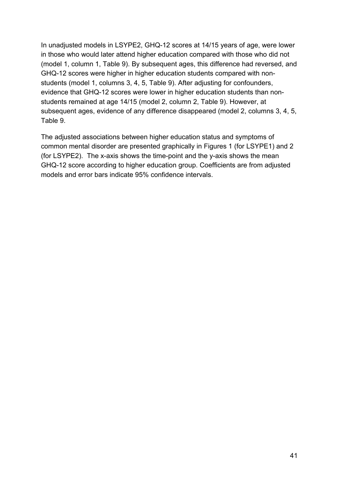In unadjusted models in LSYPE2, GHQ-12 scores at 14/15 years of age, were lower in those who would later attend higher education compared with those who did not (model 1, column 1, Table 9). By subsequent ages, this difference had reversed, and GHQ-12 scores were higher in higher education students compared with nonstudents (model 1, columns 3, 4, 5, Table 9). After adjusting for confounders, evidence that GHQ-12 scores were lower in higher education students than nonstudents remained at age 14/15 (model 2, column 2, Table 9). However, at subsequent ages, evidence of any difference disappeared (model 2, columns 3, 4, 5, Table 9.

The adjusted associations between higher education status and symptoms of common mental disorder are presented graphically in Figures 1 (for LSYPE1) and 2 (for LSYPE2). The x-axis shows the time-point and the y-axis shows the mean GHQ-12 score according to higher education group. Coefficients are from adjusted models and error bars indicate 95% confidence intervals.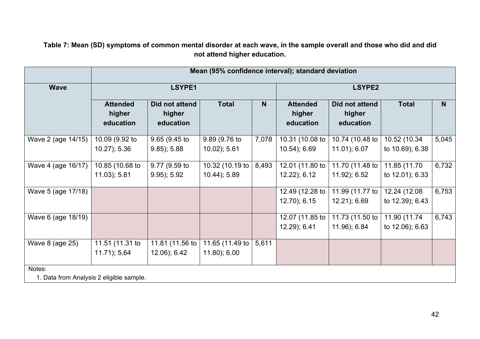**Table 7: Mean (SD) symptoms of common mental disorder at each wave, in the sample overall and those who did and did not attend higher education.**

|                    | Mean (95% confidence interval); standard deviation |                                       |                                    |                |                                        |                                       |                                  |                |
|--------------------|----------------------------------------------------|---------------------------------------|------------------------------------|----------------|----------------------------------------|---------------------------------------|----------------------------------|----------------|
| <b>Wave</b>        | LSYPE1                                             |                                       |                                    | <b>LSYPE2</b>  |                                        |                                       |                                  |                |
|                    | <b>Attended</b><br>higher<br>education             | Did not attend<br>higher<br>education | <b>Total</b>                       | N <sub>1</sub> | <b>Attended</b><br>higher<br>education | Did not attend<br>higher<br>education | <b>Total</b>                     | N <sub>1</sub> |
| Wave 2 (age 14/15) | 10.09 (9.92 to<br>$10.27$ ); 5.36                  | 9.65(9.45)<br>$9.85$ ; 5.88           | 9.89 (9.76 to<br>$10.02$ ); $5.61$ | 7,078          | 10.31 (10.08 to<br>$10.54$ ; 6.69      | 10.74 (10.48 to<br>11.01); 6.07       | 10.52 (10.34<br>to 10.69); 6.38  | 5,045          |
| Wave 4 (age 16/17) | 10.85 (10.68 to<br>$11.03$ ; 5.81                  | 9.77 (9.59 to<br>$9.95$ ; 5.92        | 10.32 (10.19 to<br>10.44); 5.89    | 8,493          | 12.01 (11.80 to<br>12.22); 6.12        | 11.70 (11.48 to<br>11.92); 6.52       | 11.85 (11.70<br>to 12.01); 6.33  | 6,732          |
| Wave 5 (age 17/18) |                                                    |                                       |                                    |                | 12.49 (12.28 to<br>12.70); 6.15        | 11.99 (11.77 to<br>12.21); 6.69       | 12.24 (12.08)<br>to 12.39); 6.43 | 6,753          |
| Wave 6 (age 18/19) |                                                    |                                       |                                    |                | 12.07 (11.85 to<br>12.29); 6.41        | 11.73 (11.50 to<br>11.96); 6.84       | 11.90 (11.74<br>to 12.06); 6.63  | 6,743          |
| Wave 8 (age 25)    | 11.51 (11.31 to<br>$11.71$ ; 5.64                  | 11.81 (11.56 to<br>12.06); 6.42       | 11.65 (11.49 to<br>11.80); 6.00    | 5,611          |                                        |                                       |                                  |                |
| Notes:             |                                                    |                                       |                                    |                |                                        |                                       |                                  |                |

1. Data from Analysis 2 eligible sample.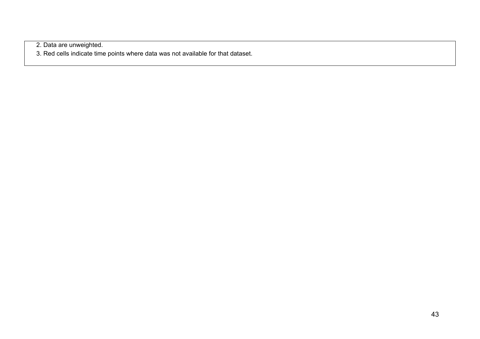2. Data are unweighted.

3. Red cells indicate time points where data was not available for that dataset.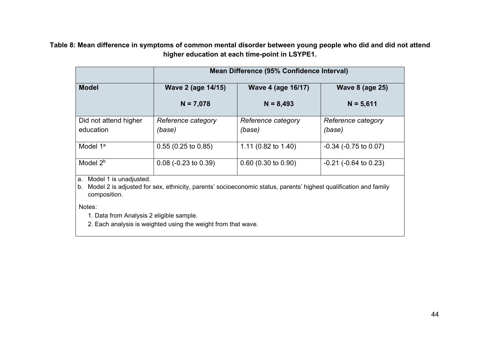**Table 8: Mean difference in symptoms of common mental disorder between young people who did and did not attend higher education at each time-point in LSYPE1.**

|                                    | Mean Difference (95% Confidence Interval) |                              |                               |  |  |
|------------------------------------|-------------------------------------------|------------------------------|-------------------------------|--|--|
| <b>Model</b>                       | <b>Wave 2 (age 14/15)</b>                 | <b>Wave 4 (age 16/17)</b>    | <b>Wave 8 (age 25)</b>        |  |  |
|                                    | $N = 7,078$                               | $N = 8,493$                  | $N = 5,611$                   |  |  |
| Did not attend higher<br>education | Reference category<br>(base)              | Reference category<br>(base) | Reference category<br>(base)  |  |  |
| Model 1 <sup>a</sup>               | $0.55(0.25 \text{ to } 0.85)$             | 1.11 (0.82 to 1.40)          | $-0.34$ ( $-0.75$ to $0.07$ ) |  |  |
| Model $2b$                         | $0.08$ (-0.23 to 0.39)                    | $0.60$ (0.30 to 0.90)        | $-0.21$ ( $-0.64$ to 0.23)    |  |  |

a. Model 1 is unadjusted.

b. Model 2 is adjusted for sex, ethnicity, parents' socioeconomic status, parents' highest qualification and family composition.

Notes:

1. Data from Analysis 2 eligible sample.

2. Each analysis is weighted using the weight from that wave.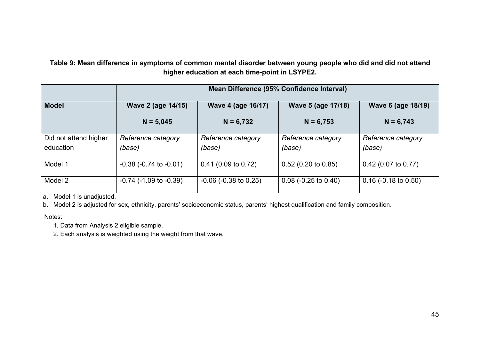**Table 9: Mean difference in symptoms of common mental disorder between young people who did and did not attend higher education at each time-point in LSYPE2.**

|                       | Mean Difference (95% Confidence Interval) |                            |                        |                        |  |  |
|-----------------------|-------------------------------------------|----------------------------|------------------------|------------------------|--|--|
| <b>Model</b>          | Wave 2 (age 14/15)                        | <b>Wave 4 (age 16/17)</b>  | Wave 5 (age 17/18)     | Wave 6 (age 18/19)     |  |  |
|                       | $N = 5,045$                               | $N = 6,732$                | $N = 6,753$            | $N = 6,743$            |  |  |
| Did not attend higher | Reference category                        | Reference category         | Reference category     | Reference category     |  |  |
| education             | (base)                                    | (base)                     | (base)                 | (base)                 |  |  |
| Model 1               | $-0.38$ ( $-0.74$ to $-0.01$ )            | $0.41$ (0.09 to 0.72)      | $0.52$ (0.20 to 0.85)  | $0.42$ (0.07 to 0.77)  |  |  |
| Model 2               | $-0.74$ ( $-1.09$ to $-0.39$ )            | $-0.06$ ( $-0.38$ to 0.25) | $0.08$ (-0.25 to 0.40) | $0.16$ (-0.18 to 0.50) |  |  |

a. Model 1 is unadjusted.

b. Model 2 is adjusted for sex, ethnicity, parents' socioeconomic status, parents' highest qualification and family composition.

Notes:

1. Data from Analysis 2 eligible sample.

2. Each analysis is weighted using the weight from that wave.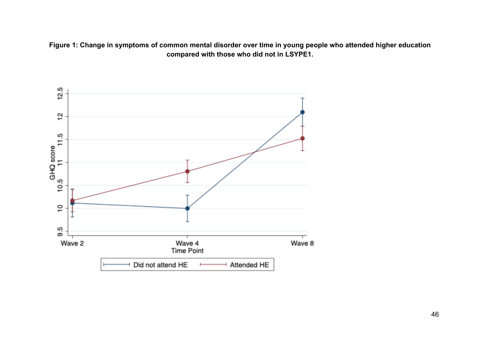**Figure 1: Change in symptoms of common mental disorder over time in young people who attended higher education compared with those who did not in LSYPE1.**

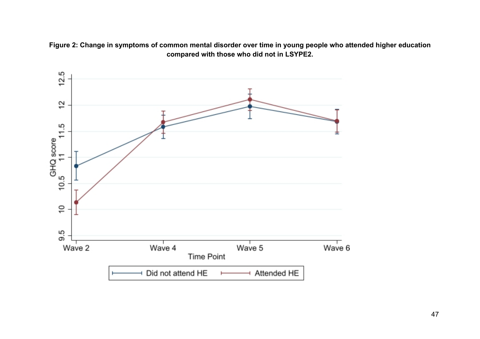**Figure 2: Change in symptoms of common mental disorder over time in young people who attended higher education compared with those who did not in LSYPE2.**

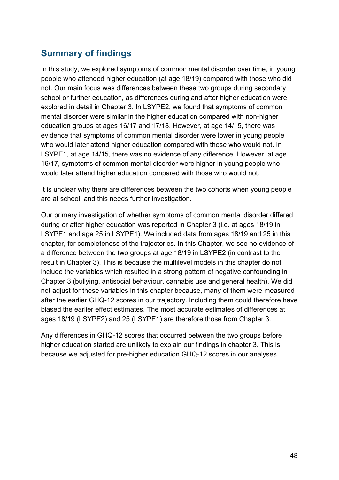### **Summary of findings**

In this study, we explored symptoms of common mental disorder over time, in young people who attended higher education (at age 18/19) compared with those who did not. Our main focus was differences between these two groups during secondary school or further education, as differences during and after higher education were explored in detail in Chapter 3. In LSYPE2, we found that symptoms of common mental disorder were similar in the higher education compared with non-higher education groups at ages 16/17 and 17/18. However, at age 14/15, there was evidence that symptoms of common mental disorder were lower in young people who would later attend higher education compared with those who would not. In LSYPE1, at age 14/15, there was no evidence of any difference. However, at age 16/17, symptoms of common mental disorder were higher in young people who would later attend higher education compared with those who would not.

It is unclear why there are differences between the two cohorts when young people are at school, and this needs further investigation.

Our primary investigation of whether symptoms of common mental disorder differed during or after higher education was reported in Chapter 3 (i.e. at ages 18/19 in LSYPE1 and age 25 in LSYPE1). We included data from ages 18/19 and 25 in this chapter, for completeness of the trajectories. In this Chapter, we see no evidence of a difference between the two groups at age 18/19 in LSYPE2 (in contrast to the result in Chapter 3). This is because the multilevel models in this chapter do not include the variables which resulted in a strong pattern of negative confounding in Chapter 3 (bullying, antisocial behaviour, cannabis use and general health). We did not adjust for these variables in this chapter because, many of them were measured after the earlier GHQ-12 scores in our trajectory. Including them could therefore have biased the earlier effect estimates. The most accurate estimates of differences at ages 18/19 (LSYPE2) and 25 (LSYPE1) are therefore those from Chapter 3.

Any differences in GHQ-12 scores that occurred between the two groups before higher education started are unlikely to explain our findings in chapter 3. This is because we adjusted for pre-higher education GHQ-12 scores in our analyses.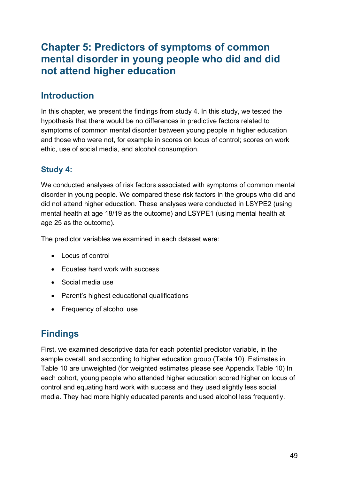### **Chapter 5: Predictors of symptoms of common mental disorder in young people who did and did not attend higher education**

### **Introduction**

In this chapter, we present the findings from study 4. In this study, we tested the hypothesis that there would be no differences in predictive factors related to symptoms of common mental disorder between young people in higher education and those who were not, for example in scores on locus of control; scores on work ethic, use of social media, and alcohol consumption.

### **Study 4:**

We conducted analyses of risk factors associated with symptoms of common mental disorder in young people. We compared these risk factors in the groups who did and did not attend higher education. These analyses were conducted in LSYPE2 (using mental health at age 18/19 as the outcome) and LSYPE1 (using mental health at age 25 as the outcome).

The predictor variables we examined in each dataset were:

- Locus of control
- Equates hard work with success
- Social media use
- Parent's highest educational qualifications
- Frequency of alcohol use

### **Findings**

First, we examined descriptive data for each potential predictor variable, in the sample overall, and according to higher education group (Table 10). Estimates in Table 10 are unweighted (for weighted estimates please see Appendix Table 10) In each cohort, young people who attended higher education scored higher on locus of control and equating hard work with success and they used slightly less social media. They had more highly educated parents and used alcohol less frequently.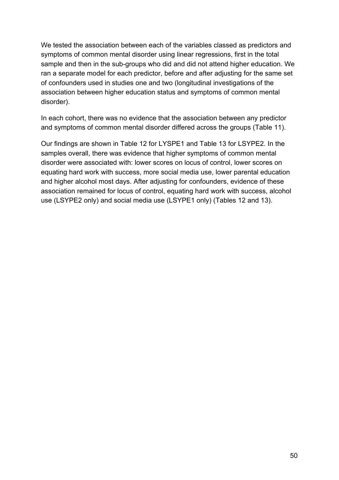We tested the association between each of the variables classed as predictors and symptoms of common mental disorder using linear regressions, first in the total sample and then in the sub-groups who did and did not attend higher education. We ran a separate model for each predictor, before and after adjusting for the same set of confounders used in studies one and two (longitudinal investigations of the association between higher education status and symptoms of common mental disorder).

In each cohort, there was no evidence that the association between any predictor and symptoms of common mental disorder differed across the groups (Table 11).

Our findings are shown in Table 12 for LYSPE1 and Table 13 for LSYPE2. In the samples overall, there was evidence that higher symptoms of common mental disorder were associated with: lower scores on locus of control, lower scores on equating hard work with success, more social media use, lower parental education and higher alcohol most days. After adjusting for confounders, evidence of these association remained for locus of control, equating hard work with success, alcohol use (LSYPE2 only) and social media use (LSYPE1 only) (Tables 12 and 13).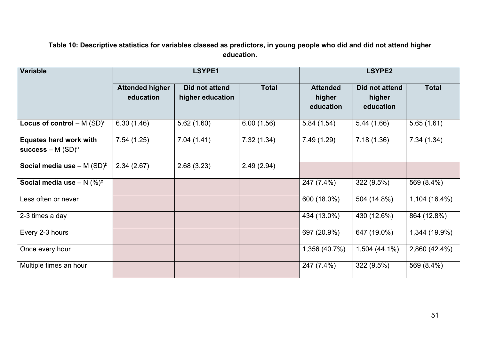#### **Table 10: Descriptive statistics for variables classed as predictors, in young people who did and did not attend higher education.**

| <b>Variable</b>                                       | LSYPE1                              |                                    |              | LSYPE2                                 |                                       |               |
|-------------------------------------------------------|-------------------------------------|------------------------------------|--------------|----------------------------------------|---------------------------------------|---------------|
|                                                       | <b>Attended higher</b><br>education | Did not attend<br>higher education | <b>Total</b> | <b>Attended</b><br>higher<br>education | Did not attend<br>higher<br>education | <b>Total</b>  |
| Locus of control $- M (SD)^a$                         | 6.30(1.46)                          | 5.62(1.60)                         | 6.00(1.56)   | 5.84(1.54)                             | 5.44(1.66)                            | 5.65(1.61)    |
| <b>Equates hard work with</b><br>success – M $(SD)^a$ | 7.54(1.25)                          | 7.04(1.41)                         | 7.32(1.34)   | 7.49(1.29)                             | 7.18(1.36)                            | 7.34(1.34)    |
| Social media use $- M (SD)^b$                         | 2.34(2.67)                          | 2.68(3.23)                         | 2.49(2.94)   |                                        |                                       |               |
| Social media use $- N$ (%) <sup>c</sup>               |                                     |                                    |              | 247 (7.4%)                             | 322 (9.5%)                            | 569 (8.4%)    |
| Less often or never                                   |                                     |                                    |              | 600 (18.0%)                            | 504 (14.8%)                           | 1,104 (16.4%) |
| 2-3 times a day                                       |                                     |                                    |              | 434 (13.0%)                            | 430 (12.6%)                           | 864 (12.8%)   |
| Every 2-3 hours                                       |                                     |                                    |              | 697 (20.9%)                            | 647 (19.0%)                           | 1,344 (19.9%) |
| Once every hour                                       |                                     |                                    |              | 1,356 (40.7%)                          | 1,504 (44.1%)                         | 2,860 (42.4%) |
| Multiple times an hour                                |                                     |                                    |              | 247 (7.4%)                             | 322 (9.5%)                            | 569 (8.4%)    |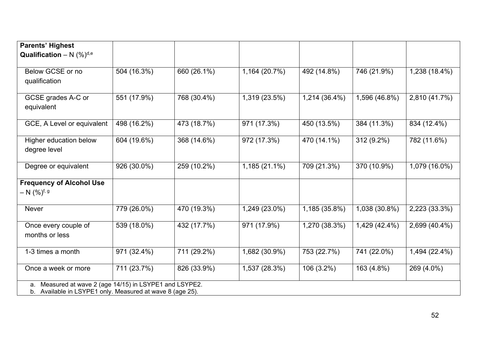| <b>Parents' Highest</b>                                                                                                 |             |             |               |               |               |               |
|-------------------------------------------------------------------------------------------------------------------------|-------------|-------------|---------------|---------------|---------------|---------------|
| <b>Qualification</b> – N $(\%)^{d,e}$                                                                                   |             |             |               |               |               |               |
| Below GCSE or no<br>qualification                                                                                       | 504 (16.3%) | 660 (26.1%) | 1,164 (20.7%) | 492 (14.8%)   | 746 (21.9%)   | 1,238 (18.4%) |
| GCSE grades A-C or<br>equivalent                                                                                        | 551 (17.9%) | 768 (30.4%) | 1,319(23.5%)  | 1,214 (36.4%) | 1,596 (46.8%) | 2,810 (41.7%) |
| GCE, A Level or equivalent                                                                                              | 498 (16.2%) | 473 (18.7%) | 971 (17.3%)   | 450 (13.5%)   | 384 (11.3%)   | 834 (12.4%)   |
| Higher education below<br>degree level                                                                                  | 604 (19.6%) | 368 (14.6%) | 972 (17.3%)   | 470 (14.1%)   | 312 (9.2%)    | 782 (11.6%)   |
| Degree or equivalent                                                                                                    | 926 (30.0%) | 259 (10.2%) | 1,185 (21.1%) | 709 (21.3%)   | 370 (10.9%)   | 1,079 (16.0%) |
| <b>Frequency of Alcohol Use</b><br>$- N (%)^{f, g}$                                                                     |             |             |               |               |               |               |
| <b>Never</b>                                                                                                            | 779 (26.0%) | 470 (19.3%) | 1,249 (23.0%) | 1,185 (35.8%) | 1,038 (30.8%) | 2,223 (33.3%) |
| Once every couple of<br>months or less                                                                                  | 539 (18.0%) | 432 (17.7%) | 971 (17.9%)   | 1,270 (38.3%) | 1,429 (42.4%) | 2,699 (40.4%) |
| 1-3 times a month                                                                                                       | 971 (32.4%) | 711 (29.2%) | 1,682 (30.9%) | 753 (22.7%)   | 741 (22.0%)   | 1,494 (22.4%) |
| Once a week or more                                                                                                     | 711 (23.7%) | 826 (33.9%) | 1,537 (28.3%) | 106 (3.2%)    | 163 (4.8%)    | 269 (4.0%)    |
| Measured at wave 2 (age 14/15) in LSYPE1 and LSYPE2.<br>a.<br>b. Available in LSYPE1 only. Measured at wave 8 (age 25). |             |             |               |               |               |               |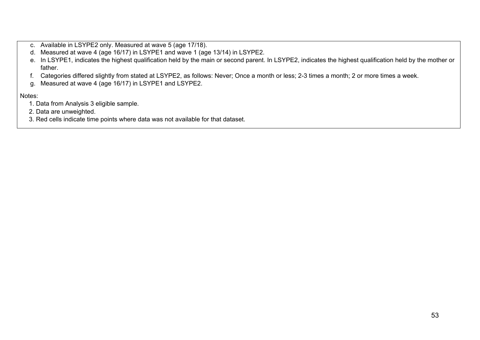- c. Available in LSYPE2 only. Measured at wave 5 (age 17/18).
- d. Measured at wave 4 (age 16/17) in LSYPE1 and wave 1 (age 13/14) in LSYPE2.
- e. In LSYPE1, indicates the highest qualification held by the main or second parent. In LSYPE2, indicates the highest qualification held by the mother or father.
- f. Categories differed slightly from stated at LSYPE2, as follows: Never; Once a month or less; 2-3 times a month; 2 or more times a week.
- g. Measured at wave 4 (age 16/17) in LSYPE1 and LSYPE2.

#### Notes:

- 1. Data from Analysis 3 eligible sample.
- 2. Data are unweighted.
- 3. Red cells indicate time points where data was not available for that dataset.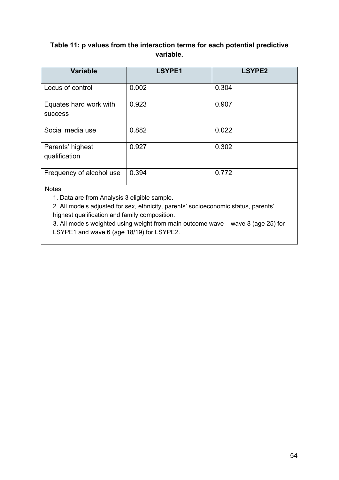#### **Table 11: p values from the interaction terms for each potential predictive variable.**

| <b>Variable</b>                          | <b>LSYPE1</b> | <b>LSYPE2</b> |
|------------------------------------------|---------------|---------------|
| Locus of control                         | 0.002         | 0.304         |
| Equates hard work with<br><b>SUCCESS</b> | 0.923         | 0.907         |
| Social media use                         | 0.882         | 0.022         |
| Parents' highest<br>qualification        | 0.927         | 0.302         |
| Frequency of alcohol use                 | 0.394         | 0.772         |

**Notes** 

1. Data are from Analysis 3 eligible sample.

2. All models adjusted for sex, ethnicity, parents' socioeconomic status, parents' highest qualification and family composition.

3. All models weighted using weight from main outcome wave – wave 8 (age 25) for LSYPE1 and wave 6 (age 18/19) for LSYPE2.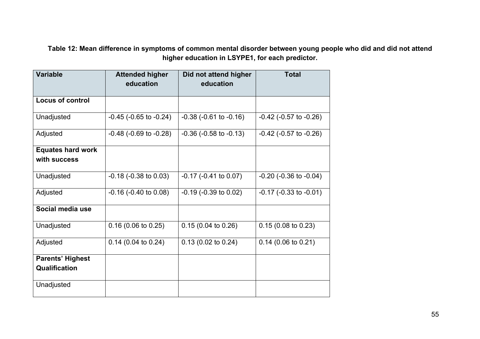**Table 12: Mean difference in symptoms of common mental disorder between young people who did and did not attend higher education in LSYPE1, for each predictor.**

| <b>Variable</b>          | <b>Attended higher</b>         | Did not attend higher          | <b>Total</b>                   |
|--------------------------|--------------------------------|--------------------------------|--------------------------------|
|                          | education                      | education                      |                                |
| <b>Locus of control</b>  |                                |                                |                                |
| Unadjusted               | $-0.45$ ( $-0.65$ to $-0.24$ ) | $-0.38$ ( $-0.61$ to $-0.16$ ) | $-0.42$ ( $-0.57$ to $-0.26$ ) |
| Adjusted                 | $-0.48$ ( $-0.69$ to $-0.28$ ) | $-0.36$ ( $-0.58$ to $-0.13$ ) | $-0.42$ ( $-0.57$ to $-0.26$ ) |
| <b>Equates hard work</b> |                                |                                |                                |
| with success             |                                |                                |                                |
| Unadjusted               | $-0.18$ ( $-0.38$ to $0.03$ )  | $-0.17$ ( $-0.41$ to $0.07$ )  | $-0.20$ ( $-0.36$ to $-0.04$ ) |
| Adjusted                 | $-0.16$ ( $-0.40$ to $0.08$ )  | $-0.19$ ( $-0.39$ to $0.02$ )  | $-0.17$ ( $-0.33$ to $-0.01$ ) |
| Social media use         |                                |                                |                                |
| Unadjusted               | $0.16$ (0.06 to 0.25)          | 0.15(0.04 to 0.26)             | 0.15(0.08 to 0.23)             |
| Adjusted                 | $0.14$ (0.04 to 0.24)          | 0.13(0.02 to 0.24)             | $0.14$ (0.06 to 0.21)          |
| <b>Parents' Highest</b>  |                                |                                |                                |
| <b>Qualification</b>     |                                |                                |                                |
| Unadjusted               |                                |                                |                                |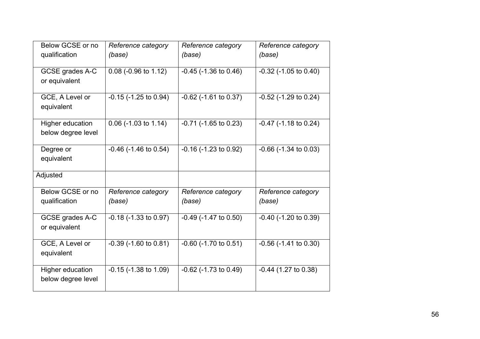| Below GCSE or no                              | Reference category            | Reference category            | Reference category            |
|-----------------------------------------------|-------------------------------|-------------------------------|-------------------------------|
| qualification                                 | (base)                        | (base)                        | (base)                        |
| GCSE grades A-C<br>or equivalent              | 0.08 (-0.96 to 1.12)          | $-0.45$ ( $-1.36$ to $0.46$ ) | $-0.32$ ( $-1.05$ to $0.40$ ) |
| GCE, A Level or<br>equivalent                 | $-0.15$ ( $-1.25$ to 0.94)    | $-0.62$ ( $-1.61$ to $0.37$ ) | $-0.52$ ( $-1.29$ to 0.24)    |
| Higher education<br>below degree level        | $0.06$ (-1.03 to 1.14)        | $-0.71$ ( $-1.65$ to 0.23)    | $-0.47$ ( $-1.18$ to 0.24)    |
| Degree or<br>equivalent                       | $-0.46$ ( $-1.46$ to $0.54$ ) | $-0.16$ ( $-1.23$ to $0.92$ ) | $-0.66$ ( $-1.34$ to $0.03$ ) |
| Adjusted                                      |                               |                               |                               |
| Below GCSE or no<br>qualification             | Reference category<br>(base)  | Reference category<br>(base)  | Reference category<br>(base)  |
| GCSE grades A-C<br>or equivalent              | $-0.18$ ( $-1.33$ to $0.97$ ) | $-0.49$ ( $-1.47$ to $0.50$ ) | $-0.40$ ( $-1.20$ to $0.39$ ) |
| GCE, A Level or<br>equivalent                 | $-0.39$ ( $-1.60$ to $0.81$ ) | $-0.60$ ( $-1.70$ to $0.51$ ) | $-0.56$ ( $-1.41$ to $0.30$ ) |
| <b>Higher education</b><br>below degree level | $-0.15$ ( $-1.38$ to $1.09$ ) | $-0.62$ ( $-1.73$ to $0.49$ ) | $-0.44$ (1.27 to 0.38)        |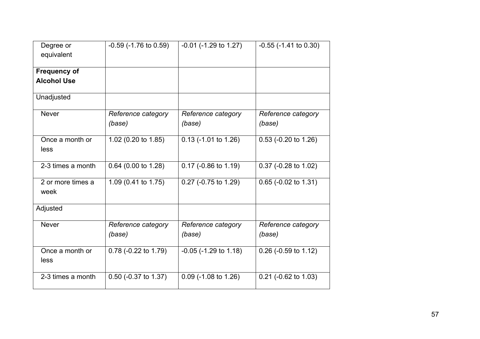| Degree or                 | $-0.59$ ( $-1.76$ to $0.59$ ) | $-0.01$ ( $-1.29$ to $1.27$ ) | $-0.55$ ( $-1.41$ to $0.30$ ) |
|---------------------------|-------------------------------|-------------------------------|-------------------------------|
| equivalent                |                               |                               |                               |
| <b>Frequency of</b>       |                               |                               |                               |
| <b>Alcohol Use</b>        |                               |                               |                               |
| Unadjusted                |                               |                               |                               |
| <b>Never</b>              | Reference category<br>(base)  | Reference category<br>(base)  | Reference category<br>(base)  |
| Once a month or<br>less   | 1.02 (0.20 to 1.85)           | $0.13$ (-1.01 to 1.26)        | 0.53 (-0.20 to 1.26)          |
| 2-3 times a month         | 0.64 (0.00 to 1.28)           | 0.17 (-0.86 to 1.19)          | 0.37 (-0.28 to 1.02)          |
| 2 or more times a<br>week | 1.09 (0.41 to 1.75)           | 0.27 (-0.75 to 1.29)          | 0.65 (-0.02 to 1.31)          |
| Adjusted                  |                               |                               |                               |
| <b>Never</b>              | Reference category<br>(base)  | Reference category<br>(base)  | Reference category<br>(base)  |
| Once a month or<br>less   | 0.78 (-0.22 to 1.79)          | $-0.05$ ( $-1.29$ to $1.18$ ) | 0.26 (-0.59 to 1.12)          |
| 2-3 times a month         | 0.50 (-0.37 to 1.37)          | $0.09$ (-1.08 to 1.26)        | 0.21 (-0.62 to 1.03)          |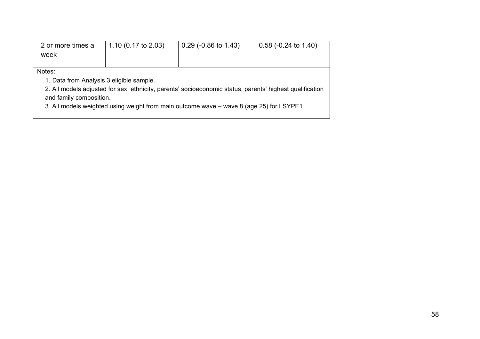| 2 or more times a | 1.10 $(0.17 \text{ to } 2.03)$ | $\frac{1}{2}$ 0.29 (-0.86 to 1.43) | $\vert$ 0.58 (-0.24 to 1.40) |
|-------------------|--------------------------------|------------------------------------|------------------------------|
| week              |                                |                                    |                              |
|                   |                                |                                    |                              |

Notes:

1. Data from Analysis 3 eligible sample.

2. All models adjusted for sex, ethnicity, parents' socioeconomic status, parents' highest qualification and family composition.

3. All models weighted using weight from main outcome wave – wave 8 (age 25) for LSYPE1.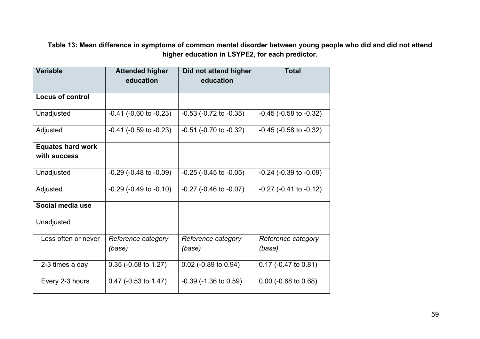**Table 13: Mean difference in symptoms of common mental disorder between young people who did and did not attend higher education in LSYPE2, for each predictor.**

| <b>Variable</b>          | <b>Attended higher</b><br>education | Did not attend higher<br>education | <b>Total</b>                   |  |
|--------------------------|-------------------------------------|------------------------------------|--------------------------------|--|
|                          |                                     |                                    |                                |  |
| <b>Locus of control</b>  |                                     |                                    |                                |  |
| Unadjusted               | $-0.41$ ( $-0.60$ to $-0.23$ )      | $-0.53$ ( $-0.72$ to $-0.35$ )     | $-0.45$ ( $-0.58$ to $-0.32$ ) |  |
| Adjusted                 | $-0.41$ ( $-0.59$ to $-0.23$ )      | $-0.51$ ( $-0.70$ to $-0.32$ )     | $-0.45$ ( $-0.58$ to $-0.32$ ) |  |
| <b>Equates hard work</b> |                                     |                                    |                                |  |
| with success             |                                     |                                    |                                |  |
| Unadjusted               | $-0.29$ ( $-0.48$ to $-0.09$ )      | $-0.25$ ( $-0.45$ to $-0.05$ )     | $-0.24$ ( $-0.39$ to $-0.09$ ) |  |
| Adjusted                 | $-0.29$ ( $-0.49$ to $-0.10$ )      | $-0.27$ ( $-0.46$ to $-0.07$ )     | $-0.27$ ( $-0.41$ to $-0.12$ ) |  |
| Social media use         |                                     |                                    |                                |  |
| Unadjusted               |                                     |                                    |                                |  |
| Less often or never      | Reference category<br>(base)        | Reference category<br>(base)       | Reference category<br>(base)   |  |
| 2-3 times a day          | $0.35$ (-0.58 to 1.27)              | $0.02$ (-0.89 to 0.94)             | $0.17$ (-0.47 to 0.81)         |  |
| Every 2-3 hours          | $0.47$ (-0.53 to 1.47)              | $-0.39$ ( $-1.36$ to $0.59$ )      | $0.00$ (-0.68 to 0.68)         |  |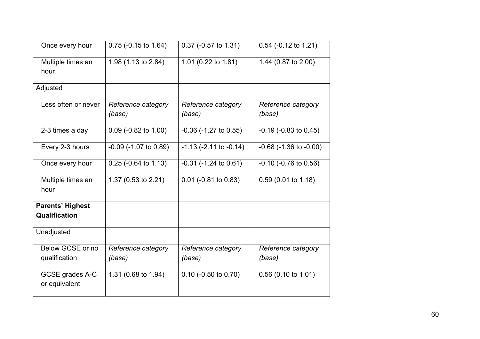| Once every hour                          | $0.75$ (-0.15 to 1.64)       | $0.37$ (-0.57 to 1.31)         | $0.54$ (-0.12 to 1.21)         |
|------------------------------------------|------------------------------|--------------------------------|--------------------------------|
| Multiple times an<br>hour                | 1.98 (1.13 to 2.84)          | 1.01 (0.22 to 1.81)            | 1.44 (0.87 to 2.00)            |
| Adjusted                                 |                              |                                |                                |
| Less often or never                      | Reference category<br>(base) | Reference category<br>(base)   | Reference category<br>(base)   |
| 2-3 times a day                          | 0.09 (-0.82 to 1.00)         | $-0.36$ ( $-1.27$ to $0.55$ )  | $-0.19$ ( $-0.83$ to $0.45$ )  |
| Every 2-3 hours                          | $-0.09$ ( $-1.07$ to 0.89)   | $-1.13$ ( $-2.11$ to $-0.14$ ) | $-0.68$ ( $-1.36$ to $-0.00$ ) |
| Once every hour                          | $0.25$ (-0.64 to 1.13)       | $-0.31$ ( $-1.24$ to $0.61$ )  | $-0.10$ ( $-0.76$ to $0.56$ )  |
| Multiple times an<br>hour                | 1.37 (0.53 to 2.21)          | $0.01$ (-0.81 to 0.83)         | 0.59 (0.01 to 1.18)            |
| <b>Parents' Highest</b><br>Qualification |                              |                                |                                |
| Unadjusted                               |                              |                                |                                |
| Below GCSE or no<br>qualification        | Reference category<br>(base) | Reference category<br>(base)   | Reference category<br>(base)   |
| GCSE grades A-C<br>or equivalent         | 1.31 (0.68 to 1.94)          | $0.10$ (-0.50 to 0.70)         | 0.56 (0.10 to 1.01)            |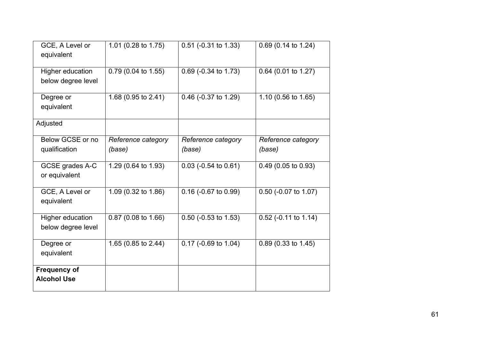| GCE, A Level or<br>equivalent             | 1.01 (0.28 to 1.75)          | 0.51 (-0.31 to 1.33)              | $0.69$ (0.14 to 1.24)             |
|-------------------------------------------|------------------------------|-----------------------------------|-----------------------------------|
| Higher education<br>below degree level    | 0.79 (0.04 to 1.55)          | 0.69 (-0.34 to 1.73)              | 0.64 (0.01 to 1.27)               |
| Degree or<br>equivalent                   | 1.68 (0.95 to 2.41)          | 0.46 (-0.37 to 1.29)              | 1.10 (0.56 to 1.65)               |
| Adjusted                                  |                              |                                   |                                   |
| Below GCSE or no<br>qualification         | Reference category<br>(base) | Reference category<br>(base)      | Reference category<br>(base)      |
| GCSE grades A-C<br>or equivalent          | 1.29 (0.64 to 1.93)          | $0.03$ (-0.54 to 0.61)            | 0.49 (0.05 to 0.93)               |
| GCE, A Level or<br>equivalent             | 1.09 (0.32 to 1.86)          | $\overline{0.16}$ (-0.67 to 0.99) | $\overline{0.50}$ (-0.07 to 1.07) |
| Higher education<br>below degree level    | 0.87 (0.08 to 1.66)          | $0.50$ (-0.53 to 1.53)            | 0.52 (-0.11 to 1.14)              |
| Degree or<br>equivalent                   | 1.65 (0.85 to 2.44)          | 0.17 (-0.69 to 1.04)              | $0.89(0.33 \text{ to } 1.45)$     |
| <b>Frequency of</b><br><b>Alcohol Use</b> |                              |                                   |                                   |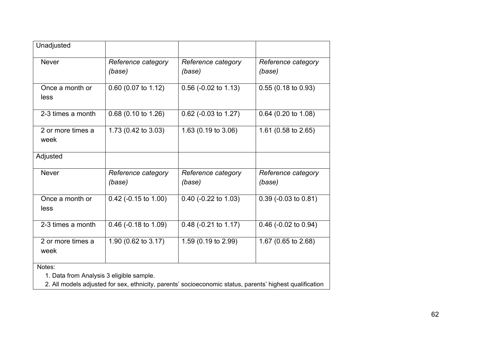| Unadjusted                |                                |                              |                               |
|---------------------------|--------------------------------|------------------------------|-------------------------------|
| <b>Never</b>              | Reference category<br>(base)   | Reference category<br>(base) | Reference category<br>(base)  |
| Once a month or<br>less   | 0.60 (0.07 to 1.12)            | $0.56$ (-0.02 to 1.13)       | $0.55(0.18 \text{ to } 0.93)$ |
| 2-3 times a month         | $0.68$ (0.10 to 1.26)          | $0.62$ (-0.03 to 1.27)       | 0.64 (0.20 to 1.08)           |
| 2 or more times a<br>week | 1.73 (0.42 to 3.03)            | 1.63 (0.19 to 3.06)          | 1.61 (0.58 to 2.65)           |
| Adjusted                  |                                |                              |                               |
| <b>Never</b>              | Reference category<br>(base)   | Reference category<br>(base) | Reference category<br>(base)  |
| Once a month or<br>less   | 0.42 (-0.15 to 1.00)           | $0.40$ (-0.22 to 1.03)       | $0.39$ (-0.03 to 0.81)        |
| 2-3 times a month         | $0.46$ (-0.18 to 1.09)         | $0.48$ (-0.21 to 1.17)       | $0.46$ (-0.02 to 0.94)        |
| 2 or more times a<br>week | 1.90 $(0.62 \text{ to } 3.17)$ | 1.59 (0.19 to 2.99)          | 1.67 (0.65 to 2.68)           |

Notes:

1. Data from Analysis 3 eligible sample.

2. All models adjusted for sex, ethnicity, parents' socioeconomic status, parents' highest qualification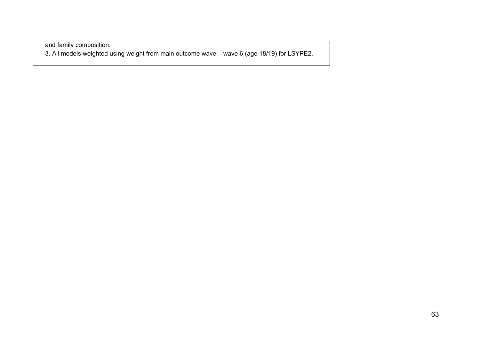and family composition. 3. All models weighted using weight from main outcome wave – wave 6 (age 18/19) for LSYPE2.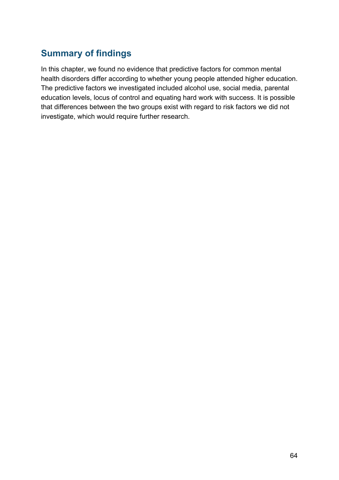### **Summary of findings**

In this chapter, we found no evidence that predictive factors for common mental health disorders differ according to whether young people attended higher education. The predictive factors we investigated included alcohol use, social media, parental education levels, locus of control and equating hard work with success. It is possible that differences between the two groups exist with regard to risk factors we did not investigate, which would require further research.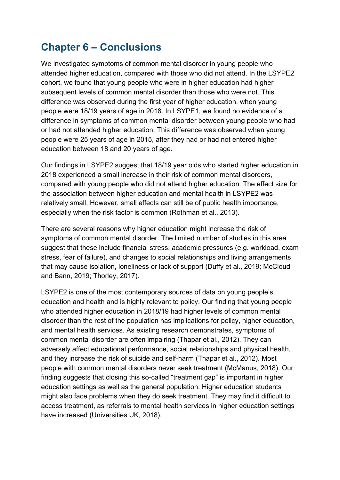## **Chapter 6 – Conclusions**

We investigated symptoms of common mental disorder in young people who attended higher education, compared with those who did not attend. In the LSYPE2 cohort, we found that young people who were in higher education had higher subsequent levels of common mental disorder than those who were not. This difference was observed during the first year of higher education, when young people were 18/19 years of age in 2018. In LSYPE1, we found no evidence of a difference in symptoms of common mental disorder between young people who had or had not attended higher education. This difference was observed when young people were 25 years of age in 2015, after they had or had not entered higher education between 18 and 20 years of age.

Our findings in LSYPE2 suggest that 18/19 year olds who started higher education in 2018 experienced a small increase in their risk of common mental disorders, compared with young people who did not attend higher education. The effect size for the association between higher education and mental health in LSYPE2 was relatively small. However, small effects can still be of public health importance, especially when the risk factor is common (Rothman et al., 2013).

There are several reasons why higher education might increase the risk of symptoms of common mental disorder. The limited number of studies in this area suggest that these include financial stress, academic pressures (e.g. workload, exam stress, fear of failure), and changes to social relationships and living arrangements that may cause isolation, loneliness or lack of support (Duffy et al., 2019; McCloud and Bann, 2019; Thorley, 2017).

LSYPE2 is one of the most contemporary sources of data on young people's education and health and is highly relevant to policy. Our finding that young people who attended higher education in 2018/19 had higher levels of common mental disorder than the rest of the population has implications for policy, higher education, and mental health services. As existing research demonstrates, symptoms of common mental disorder are often impairing (Thapar et al., 2012). They can adversely affect educational performance, social relationships and physical health, and they increase the risk of suicide and self-harm (Thapar et al., 2012). Most people with common mental disorders never seek treatment (McManus, 2018). Our finding suggests that closing this so-called "treatment gap" is important in higher education settings as well as the general population. Higher education students might also face problems when they do seek treatment. They may find it difficult to access treatment, as referrals to mental health services in higher education settings have increased (Universities UK, 2018).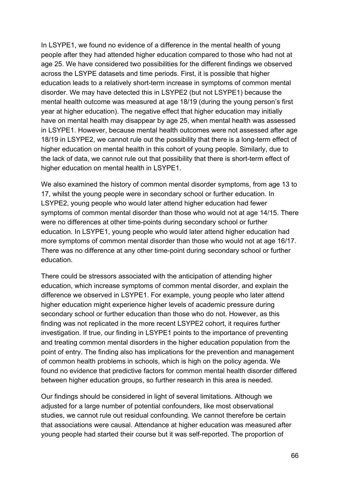In LSYPE1, we found no evidence of a difference in the mental health of young people after they had attended higher education compared to those who had not at age 25. We have considered two possibilities for the different findings we observed across the LSYPE datasets and time periods. First, it is possible that higher education leads to a relatively short-term increase in symptoms of common mental disorder. We may have detected this in LSYPE2 (but not LSYPE1) because the mental health outcome was measured at age 18/19 (during the young person's first year at higher education). The negative effect that higher education may initially have on mental health may disappear by age 25, when mental health was assessed in LSYPE1. However, because mental health outcomes were not assessed after age 18/19 in LSYPE2, we cannot rule out the possibility that there is a long-term effect of higher education on mental health in this cohort of young people. Similarly, due to the lack of data, we cannot rule out that possibility that there is short-term effect of higher education on mental health in LSYPE1.

We also examined the history of common mental disorder symptoms, from age 13 to 17, whilst the young people were in secondary school or further education. In LSYPE2, young people who would later attend higher education had fewer symptoms of common mental disorder than those who would not at age 14/15. There were no differences at other time-points during secondary school or further education. In LSYPE1, young people who would later attend higher education had more symptoms of common mental disorder than those who would not at age 16/17. There was no difference at any other time-point during secondary school or further education.

There could be stressors associated with the anticipation of attending higher education, which increase symptoms of common mental disorder, and explain the difference we observed in LSYPE1. For example, young people who later attend higher education might experience higher levels of academic pressure during secondary school or further education than those who do not. However, as this finding was not replicated in the more recent LSYPE2 cohort, it requires further investigation. If true, our finding in LSYPE1 points to the importance of preventing and treating common mental disorders in the higher education population from the point of entry. The finding also has implications for the prevention and management of common health problems in schools, which is high on the policy agenda. We found no evidence that predictive factors for common mental health disorder differed between higher education groups, so further research in this area is needed.

Our findings should be considered in light of several limitations. Although we adjusted for a large number of potential confounders, like most observational studies, we cannot rule out residual confounding. We cannot therefore be certain that associations were causal. Attendance at higher education was measured after young people had started their course but it was self-reported. The proportion of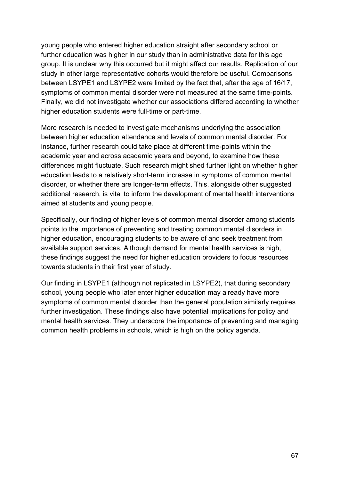young people who entered higher education straight after secondary school or further education was higher in our study than in administrative data for this age group. It is unclear why this occurred but it might affect our results. Replication of our study in other large representative cohorts would therefore be useful. Comparisons between LSYPE1 and LSYPE2 were limited by the fact that, after the age of 16/17, symptoms of common mental disorder were not measured at the same time-points. Finally, we did not investigate whether our associations differed according to whether higher education students were full-time or part-time.

More research is needed to investigate mechanisms underlying the association between higher education attendance and levels of common mental disorder. For instance, further research could take place at different time-points within the academic year and across academic years and beyond, to examine how these differences might fluctuate. Such research might shed further light on whether higher education leads to a relatively short-term increase in symptoms of common mental disorder, or whether there are longer-term effects. This, alongside other suggested additional research, is vital to inform the development of mental health interventions aimed at students and young people.

Specifically, our finding of higher levels of common mental disorder among students points to the importance of preventing and treating common mental disorders in higher education, encouraging students to be aware of and seek treatment from available support services. Although demand for mental health services is high, these findings suggest the need for higher education providers to focus resources towards students in their first year of study.

Our finding in LSYPE1 (although not replicated in LSYPE2), that during secondary school, young people who later enter higher education may already have more symptoms of common mental disorder than the general population similarly requires further investigation. These findings also have potential implications for policy and mental health services. They underscore the importance of preventing and managing common health problems in schools, which is high on the policy agenda.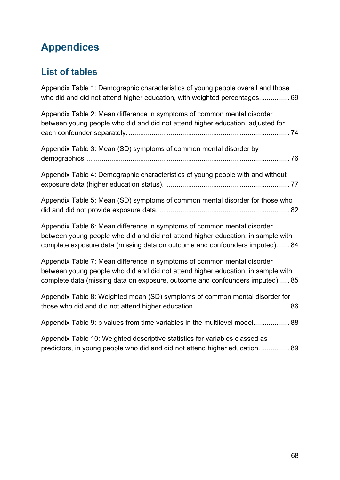# **Appendices**

## **List of tables**

| Appendix Table 1: Demographic characteristics of young people overall and those<br>who did and did not attend higher education, with weighted percentages 69                                                                                |
|---------------------------------------------------------------------------------------------------------------------------------------------------------------------------------------------------------------------------------------------|
| Appendix Table 2: Mean difference in symptoms of common mental disorder<br>between young people who did and did not attend higher education, adjusted for                                                                                   |
| Appendix Table 3: Mean (SD) symptoms of common mental disorder by                                                                                                                                                                           |
| Appendix Table 4: Demographic characteristics of young people with and without                                                                                                                                                              |
| Appendix Table 5: Mean (SD) symptoms of common mental disorder for those who                                                                                                                                                                |
| Appendix Table 6: Mean difference in symptoms of common mental disorder<br>between young people who did and did not attend higher education, in sample with<br>complete exposure data (missing data on outcome and confounders imputed) 84  |
| Appendix Table 7: Mean difference in symptoms of common mental disorder<br>between young people who did and did not attend higher education, in sample with<br>complete data (missing data on exposure, outcome and confounders imputed) 85 |
| Appendix Table 8: Weighted mean (SD) symptoms of common mental disorder for                                                                                                                                                                 |
| Appendix Table 9: p values from time variables in the multilevel model 88                                                                                                                                                                   |
| Appendix Table 10: Weighted descriptive statistics for variables classed as<br>predictors, in young people who did and did not attend higher education 89                                                                                   |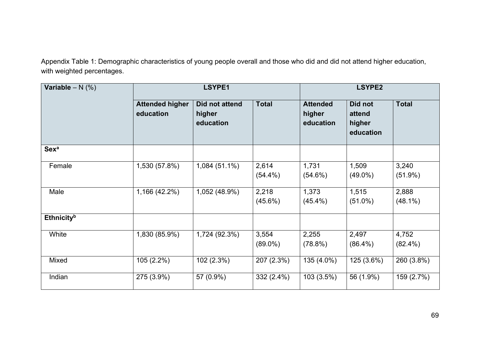Appendix Table 1: Demographic characteristics of young people overall and those who did and did not attend higher education, with weighted percentages.

<span id="page-68-0"></span>

| Variable $- N$ (%)            | LSYPE1                              |                                       |                     |                                        | <b>LSYPE2</b>                            |                     |  |
|-------------------------------|-------------------------------------|---------------------------------------|---------------------|----------------------------------------|------------------------------------------|---------------------|--|
|                               | <b>Attended higher</b><br>education | Did not attend<br>higher<br>education | <b>Total</b>        | <b>Attended</b><br>higher<br>education | Did not<br>attend<br>higher<br>education | <b>Total</b>        |  |
| <b>Sexa</b>                   |                                     |                                       |                     |                                        |                                          |                     |  |
| Female                        | 1,530 (57.8%)                       | $1,084(51.1\%)$                       | 2,614<br>$(54.4\%)$ | 1,731<br>$(54.6\%)$                    | 1,509<br>$(49.0\%)$                      | 3,240<br>$(51.9\%)$ |  |
| Male                          | 1,166 (42.2%)                       | 1,052 (48.9%)                         | 2,218<br>$(45.6\%)$ | 1,373<br>$(45.4\%)$                    | 1,515<br>$(51.0\%)$                      | 2,888<br>$(48.1\%)$ |  |
| <b>Ethnicity</b> <sup>b</sup> |                                     |                                       |                     |                                        |                                          |                     |  |
| White                         | 1,830 (85.9%)                       | 1,724 (92.3%)                         | 3,554<br>$(89.0\%)$ | 2,255<br>(78.8%)                       | 2,497<br>$(86.4\%)$                      | 4,752<br>$(82.4\%)$ |  |
| Mixed                         | $105(2.2\%)$                        | 102 (2.3%)                            | 207 (2.3%)          | 135 (4.0%)                             | 125 (3.6%)                               | 260 (3.8%)          |  |
| Indian                        | 275 (3.9%)                          | 57 (0.9%)                             | $332(2.4\%)$        | 103 (3.5%)                             | 56 (1.9%)                                | 159 (2.7%)          |  |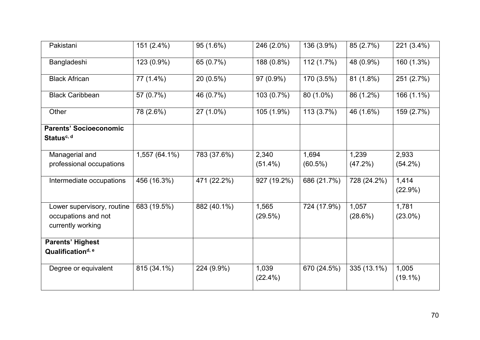| Pakistani                     | 151 (2.4%)    | 95 (1.6%)   | 246 (2.0%)  | 136 (3.9%)  | 85 (2.7%)   | 221 (3.4%)       |
|-------------------------------|---------------|-------------|-------------|-------------|-------------|------------------|
| Bangladeshi                   | 123 (0.9%)    | 65 (0.7%)   | 188 (0.8%)  | 112 (1.7%)  | 48 (0.9%)   | 160 (1.3%)       |
| <b>Black African</b>          | 77 (1.4%)     | $20(0.5\%)$ | 97 (0.9%)   | 170 (3.5%)  | 81(1.8%)    | 251 (2.7%)       |
| <b>Black Caribbean</b>        | 57 (0.7%)     | 46 (0.7%)   | 103 (0.7%)  | 80 (1.0%)   | 86 (1.2%)   | 166 (1.1%)       |
| Other                         | 78 (2.6%)     | 27 (1.0%)   | 105 (1.9%)  | 113(3.7%)   | 46 (1.6%)   | 159 (2.7%)       |
| <b>Parents' Socioeconomic</b> |               |             |             |             |             |                  |
| Status <sup>c, d</sup>        |               |             |             |             |             |                  |
| Managerial and                | 1,557 (64.1%) | 783 (37.6%) | 2,340       | 1,694       | 1,239       | 2,933            |
| professional occupations      |               |             | $(51.4\%)$  | $(60.5\%)$  | $(47.2\%)$  | (54.2%)          |
| Intermediate occupations      | 456 (16.3%)   | 471 (22.2%) | 927 (19.2%) | 686 (21.7%) | 728 (24.2%) | 1,414<br>(22.9%) |
| Lower supervisory, routine    | 683 (19.5%)   | 882 (40.1%) | 1,565       | 724 (17.9%) | 1,057       | 1,781            |
| occupations and not           |               |             | (29.5%)     |             | (28.6%)     | $(23.0\%)$       |
| currently working             |               |             |             |             |             |                  |
| <b>Parents' Highest</b>       |               |             |             |             |             |                  |
| Qualification <sup>d, e</sup> |               |             |             |             |             |                  |
| Degree or equivalent          | 815 (34.1%)   | 224 (9.9%)  | 1,039       | 670 (24.5%) | 335 (13.1%) | 1,005            |
|                               |               |             | $(22.4\%)$  |             |             | $(19.1\%)$       |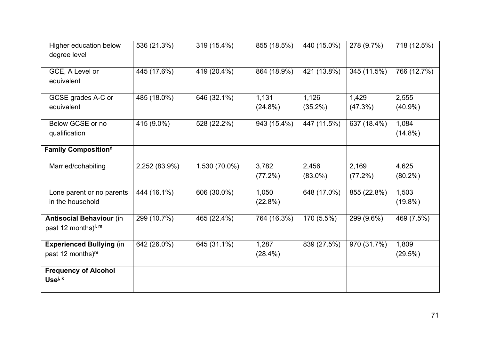| <b>Higher education below</b>   | 536 (21.3%)   | 319 (15.4%)   | 855 (18.5%) | 440 (15.0%) | 278 (9.7%)  | 718 (12.5%) |
|---------------------------------|---------------|---------------|-------------|-------------|-------------|-------------|
| degree level                    |               |               |             |             |             |             |
| GCE, A Level or                 | 445 (17.6%)   | 419 (20.4%)   | 864 (18.9%) | 421 (13.8%) | 345 (11.5%) | 766 (12.7%) |
| equivalent                      |               |               |             |             |             |             |
|                                 |               |               |             |             |             |             |
| GCSE grades A-C or              | 485 (18.0%)   | 646 (32.1%)   | 1,131       | 1,126       | 1,429       | 2,555       |
| equivalent                      |               |               | $(24.8\%)$  | $(35.2\%)$  | (47.3%)     | $(40.9\%)$  |
| Below GCSE or no                | 415 (9.0%)    | 528 (22.2%)   | 943 (15.4%) | 447 (11.5%) | 637 (18.4%) | 1,084       |
| qualification                   |               |               |             |             |             | $(14.8\%)$  |
|                                 |               |               |             |             |             |             |
| Family Composition <sup>d</sup> |               |               |             |             |             |             |
| Married/cohabiting              | 2,252 (83.9%) | 1,530 (70.0%) | 3,782       | 2,456       | 2,169       | 4,625       |
|                                 |               |               | $(77.2\%)$  | $(83.0\%)$  | (77.2%)     | $(80.2\%)$  |
| Lone parent or no parents       | 444 (16.1%)   | 606 (30.0%)   | 1,050       | 648 (17.0%) | 855 (22.8%) | 1,503       |
| in the household                |               |               | (22.8%)     |             |             | $(19.8\%)$  |
|                                 |               |               |             |             |             |             |
| <b>Antisocial Behaviour (in</b> | 299 (10.7%)   | 465 (22.4%)   | 764 (16.3%) | 170 (5.5%)  | 299 (9.6%)  | 469 (7.5%)  |
| past 12 months) <sup>1, m</sup> |               |               |             |             |             |             |
| <b>Experienced Bullying (in</b> | 642 (26.0%)   | 645 (31.1%)   | 1,287       | 839 (27.5%) | 970 (31.7%) | 1,809       |
| past 12 months) <sup>m</sup>    |               |               | $(28.4\%)$  |             |             | (29.5%)     |
|                                 |               |               |             |             |             |             |
| <b>Frequency of Alcohol</b>     |               |               |             |             |             |             |
| Usei, k                         |               |               |             |             |             |             |
|                                 |               |               |             |             |             |             |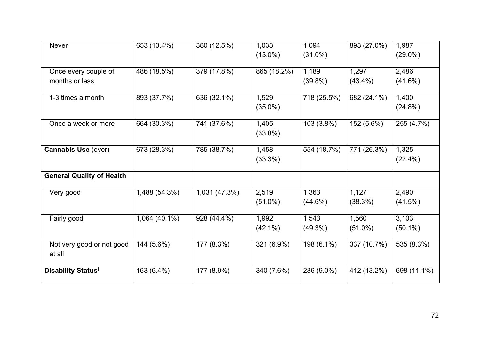| <b>Never</b>                     | 653 (13.4%)   | 380 (12.5%)   | 1,033       | 1,094       | 893 (27.0%) | 1,987       |
|----------------------------------|---------------|---------------|-------------|-------------|-------------|-------------|
|                                  |               |               | $(13.0\%)$  | $(31.0\%)$  |             | $(29.0\%)$  |
|                                  | 486 (18.5%)   | 379 (17.8%)   | 865 (18.2%) | 1,189       | 1,297       | 2,486       |
| Once every couple of             |               |               |             |             |             |             |
| months or less                   |               |               |             | $(39.8\%)$  | $(43.4\%)$  | $(41.6\%)$  |
| 1-3 times a month                | 893 (37.7%)   | 636 (32.1%)   | 1,529       | 718 (25.5%) | 682 (24.1%) | 1,400       |
|                                  |               |               | $(35.0\%)$  |             |             | (24.8%)     |
| Once a week or more              | 664 (30.3%)   | 741 (37.6%)   | 1,405       | 103 (3.8%)  | 152 (5.6%)  | 255 (4.7%)  |
|                                  |               |               | $(33.8\%)$  |             |             |             |
|                                  |               |               |             |             |             |             |
| <b>Cannabis Use (ever)</b>       | 673 (28.3%)   | 785 (38.7%)   | 1,458       | 554 (18.7%) | 771 (26.3%) | 1,325       |
|                                  |               |               | (33.3%)     |             |             | $(22.4\%)$  |
|                                  |               |               |             |             |             |             |
| <b>General Quality of Health</b> |               |               |             |             |             |             |
| Very good                        | 1,488 (54.3%) | 1,031 (47.3%) | 2,519       | 1,363       | 1,127       | 2,490       |
|                                  |               |               | $(51.0\%)$  | $(44.6\%)$  | (38.3%)     | (41.5%)     |
|                                  |               |               |             |             |             |             |
| Fairly good                      | 1,064 (40.1%) | 928 (44.4%)   | 1,992       | 1,543       | 1,560       | 3,103       |
|                                  |               |               | $(42.1\%)$  | $(49.3\%)$  | $(51.0\%)$  | $(50.1\%)$  |
| Not very good or not good        | 144 (5.6%)    | 177 (8.3%)    | 321 (6.9%)  | 198 (6.1%)  | 337 (10.7%) | 535 (8.3%)  |
| at all                           |               |               |             |             |             |             |
|                                  |               |               |             |             |             |             |
| Disability Status <sup>j</sup>   | 163 (6.4%)    | 177 (8.9%)    | 340 (7.6%)  | 286 (9.0%)  | 412 (13.2%) | 698 (11.1%) |
|                                  |               |               |             |             |             |             |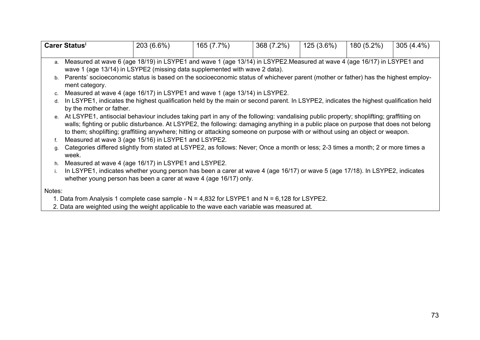|        | <b>Carer Statusi</b>                                                                                                                             | 203 (6.6%) | 165 (7.7%) | 368 (7.2%) | 125 (3.6%) | 180 (5.2%) | $305(4.4\%)$ |
|--------|--------------------------------------------------------------------------------------------------------------------------------------------------|------------|------------|------------|------------|------------|--------------|
| a.     | Measured at wave 6 (age 18/19) in LSYPE1 and wave 1 (age 13/14) in LSYPE2.Measured at wave 4 (age 16/17) in LSYPE1 and                           |            |            |            |            |            |              |
|        | wave 1 (age 13/14) in LSYPE2 (missing data supplemented with wave 2 data).                                                                       |            |            |            |            |            |              |
|        | b. Parents' socioeconomic status is based on the socioeconomic status of whichever parent (mother or father) has the highest employ-             |            |            |            |            |            |              |
|        | ment category.                                                                                                                                   |            |            |            |            |            |              |
| C.     | Measured at wave 4 (age 16/17) in LSYPE1 and wave 1 (age 13/14) in LSYPE2.                                                                       |            |            |            |            |            |              |
| d.     | In LSYPE1, indicates the highest qualification held by the main or second parent. In LSYPE2, indicates the highest qualification held            |            |            |            |            |            |              |
|        | by the mother or father.                                                                                                                         |            |            |            |            |            |              |
|        | e. At LSYPE1, antisocial behaviour includes taking part in any of the following: vandalising public property; shoplifting; graffitiing on        |            |            |            |            |            |              |
|        | walls; fighting or public disturbance. At LSYPE2, the following: damaging anything in a public place on purpose that does not belong             |            |            |            |            |            |              |
|        | to them; shoplifting; graffitiing anywhere; hitting or attacking someone on purpose with or without using an object or weapon.                   |            |            |            |            |            |              |
| f.     | Measured at wave 3 (age 15/16) in LSYPE1 and LSYPE2.                                                                                             |            |            |            |            |            |              |
|        | Categories differed slightly from stated at LSYPE2, as follows: Never; Once a month or less; 2-3 times a month; 2 or more times a<br>g.<br>week. |            |            |            |            |            |              |
| h.     | Measured at wave 4 (age 16/17) in LSYPE1 and LSYPE2.                                                                                             |            |            |            |            |            |              |
|        | In LSYPE1, indicates whether young person has been a carer at wave 4 (age 16/17) or wave 5 (age 17/18). In LSYPE2, indicates                     |            |            |            |            |            |              |
|        | whether young person has been a carer at wave 4 (age 16/17) only.                                                                                |            |            |            |            |            |              |
|        |                                                                                                                                                  |            |            |            |            |            |              |
| Notes: |                                                                                                                                                  |            |            |            |            |            |              |
|        | 1. Data from Analysis 1 complete case sample - $N = 4,832$ for LSYPE1 and $N = 6,128$ for LSYPE2.                                                |            |            |            |            |            |              |

2. Data are weighted using the weight applicable to the wave each variable was measured at.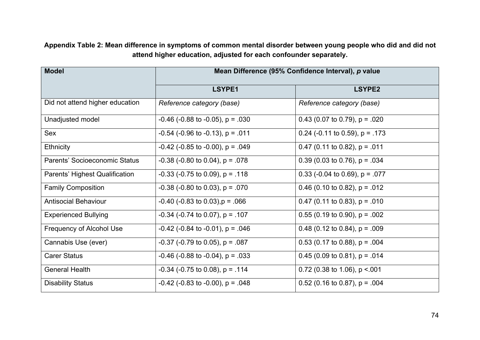**Appendix Table 2: Mean difference in symptoms of common mental disorder between young people who did and did not attend higher education, adjusted for each confounder separately.**

| <b>Model</b>                    |                                            | Mean Difference (95% Confidence Interval), p value |
|---------------------------------|--------------------------------------------|----------------------------------------------------|
|                                 | LSYPE1                                     | LSYPE2                                             |
| Did not attend higher education | Reference category (base)                  | Reference category (base)                          |
| Unadjusted model                | $-0.46$ ( $-0.88$ to $-0.05$ ), p = 0.030  | 0.43 (0.07 to 0.79), $p = .020$                    |
| Sex                             | $-0.54$ ( $-0.96$ to $-0.13$ ), p = 0.011  | 0.24 (-0.11 to 0.59), $p = .173$                   |
| <b>Ethnicity</b>                | $-0.42$ ( $-0.85$ to $-0.00$ ), p = .049   | 0.47 (0.11 to 0.82), $p = .011$                    |
| Parents' Socioeconomic Status   | $-0.38$ ( $-0.80$ to 0.04), p = .078       | 0.39 (0.03 to 0.76), $p = .034$                    |
| Parents' Highest Qualification  | $-0.33$ ( $-0.75$ to 0.09), $p = .118$     | 0.33 (-0.04 to 0.69), $p = .077$                   |
| <b>Family Composition</b>       | $-0.38$ ( $-0.80$ to 0.03), p = .070       | 0.46 (0.10 to 0.82), $p = .012$                    |
| <b>Antisocial Behaviour</b>     | $-0.40$ ( $-0.83$ to $0.03$ ), $p = 0.066$ | 0.47 (0.11 to 0.83), $p = .010$                    |
| <b>Experienced Bullying</b>     | $-0.34$ ( $-0.74$ to 0.07), p = .107       | $0.55$ (0.19 to 0.90), p = .002                    |
| Frequency of Alcohol Use        | $-0.42$ ( $-0.84$ to $-0.01$ ), p = .046   | 0.48 (0.12 to 0.84), $p = .009$                    |
| Cannabis Use (ever)             | $-0.37$ ( $-0.79$ to 0.05), p = .087       | $0.53$ (0.17 to 0.88), p = .004                    |
| <b>Carer Status</b>             | $-0.46$ ( $-0.88$ to $-0.04$ ), p = 0.033  | 0.45 (0.09 to 0.81), $p = .014$                    |
| <b>General Health</b>           | $-0.34$ ( $-0.75$ to 0.08), p = .114       | 0.72 (0.38 to 1.06), $p < 001$                     |
| <b>Disability Status</b>        | $-0.42$ ( $-0.83$ to $-0.00$ ), p = .048   | $0.52$ (0.16 to 0.87), p = .004                    |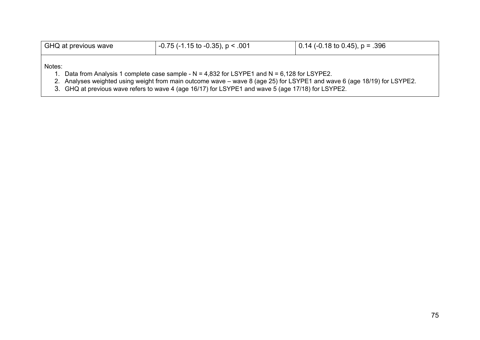| GHQ at previous wave | $\vert$ -0.75 (-1.15 to -0.35), p < .001                                                                                                                                                                                                                                                                                            | 0.14 (-0.18 to 0.45), $p = .396$ |  |
|----------------------|-------------------------------------------------------------------------------------------------------------------------------------------------------------------------------------------------------------------------------------------------------------------------------------------------------------------------------------|----------------------------------|--|
| Notes:               | 1. Data from Analysis 1 complete case sample - $N = 4,832$ for LSYPE1 and $N = 6,128$ for LSYPE2.<br>2. Analyses weighted using weight from main outcome wave – wave 8 (age 25) for LSYPE1 and wave 6 (age 18/19) for LSYPE2.<br>3. GHQ at previous wave refers to wave 4 (age 16/17) for LSYPE1 and wave 5 (age 17/18) for LSYPE2. |                                  |  |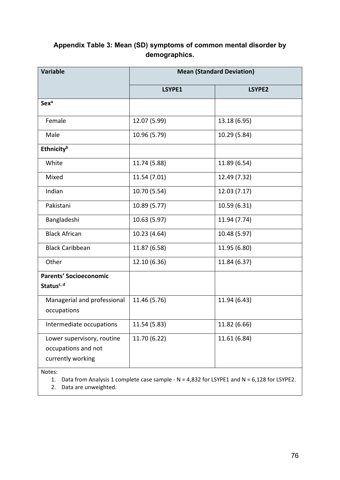| Appendix Table 3: Mean (SD) symptoms of common mental disorder by |
|-------------------------------------------------------------------|
| demographics.                                                     |

| <b>Variable</b>                                                                            | <b>Mean (Standard Deviation)</b> |              |  |  |
|--------------------------------------------------------------------------------------------|----------------------------------|--------------|--|--|
|                                                                                            | LSYPE1                           | LSYPE2       |  |  |
| <b>Sex<sup>a</sup></b>                                                                     |                                  |              |  |  |
| Female                                                                                     | 12.07 (5.99)                     | 13.18 (6.95) |  |  |
| Male                                                                                       | 10.96 (5.79)                     | 10.29 (5.84) |  |  |
| Ethnicityb                                                                                 |                                  |              |  |  |
| White                                                                                      | 11.74 (5.88)                     | 11.89 (6.54) |  |  |
| Mixed                                                                                      | 11.54 (7.01)                     | 12.49 (7.32) |  |  |
| Indian                                                                                     | 10.70 (5.54)                     | 12.03 (7.17) |  |  |
| Pakistani                                                                                  | 10.89 (5.77)                     | 10.59 (6.31) |  |  |
| Bangladeshi                                                                                | 10.63 (5.97)                     | 11.94 (7.74) |  |  |
| <b>Black African</b>                                                                       | 10.23 (4.64)                     | 10.48 (5.97) |  |  |
| <b>Black Caribbean</b>                                                                     | 11.87 (6.58)                     | 11.95 (6.80) |  |  |
| Other                                                                                      | 12.10 (6.36)                     | 11.84 (6.37) |  |  |
| <b>Parents' Socioeconomic</b><br>Status <sup>c, d</sup>                                    |                                  |              |  |  |
| Managerial and professional<br>occupations                                                 | 11.46 (5.76)                     | 11.94 (6.43) |  |  |
| Intermediate occupations                                                                   | 11.54 (5.83)                     | 11.82 (6.66) |  |  |
| Lower supervisory, routine<br>occupations and not<br>currently working<br>$M$ ntec $\cdot$ | 11.70 (6.22)                     | 11.61 (6.84) |  |  |

Notes:

1. Data from Analysis 1 complete case sample - N = 4,832 for LSYPE1 and N = 6,128 for LSYPE2.

2. Data are unweighted.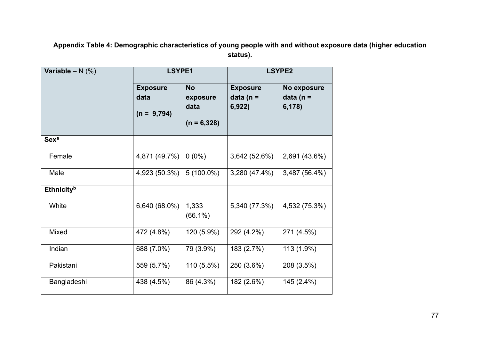**Appendix Table 4: Demographic characteristics of young people with and without exposure data (higher education status).**

| Variable – $N$ (%)            | <b>LSYPE1</b>                            |                                                | <b>LSYPE2</b>                            |                                       |
|-------------------------------|------------------------------------------|------------------------------------------------|------------------------------------------|---------------------------------------|
|                               | <b>Exposure</b><br>data<br>$(n = 9,794)$ | <b>No</b><br>exposure<br>data<br>$(n = 6,328)$ | <b>Exposure</b><br>data (n $=$<br>6,922) | No exposure<br>data ( $n =$<br>6,178) |
| <b>Sexa</b>                   |                                          |                                                |                                          |                                       |
| Female                        | 4,871 (49.7%)                            | $0(0\%)$                                       | 3,642 (52.6%)                            | 2,691 (43.6%)                         |
| Male                          | 4,923 (50.3%)                            | $5(100.0\%)$                                   | 3,280 (47.4%)                            | 3,487 (56.4%)                         |
| <b>Ethnicity</b> <sup>b</sup> |                                          |                                                |                                          |                                       |
| White                         | 6,640 (68.0%)                            | 1,333<br>$(66.1\%)$                            | 5,340 (77.3%)                            | 4,532 (75.3%)                         |
| Mixed                         | 472 (4.8%)                               | 120 (5.9%)                                     | 292 (4.2%)                               | 271 (4.5%)                            |
| Indian                        | 688 (7.0%)                               | 79 (3.9%)                                      | 183 (2.7%)                               | 113 (1.9%)                            |
| Pakistani                     | 559 (5.7%)                               | 110 (5.5%)                                     | 250 (3.6%)                               | 208 (3.5%)                            |
| Bangladeshi                   | 438 (4.5%)                               | 86 (4.3%)                                      | 182 (2.6%)                               | 145 (2.4%)                            |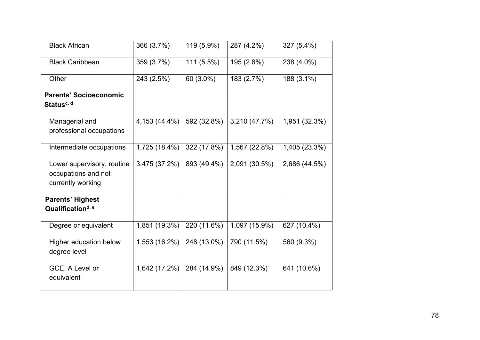| <b>Black African</b>          | 366 (3.7%)    | 119 (5.9%)   | 287 (4.2%)    | 327 (5.4%)    |
|-------------------------------|---------------|--------------|---------------|---------------|
|                               |               |              |               |               |
| <b>Black Caribbean</b>        | 359 (3.7%)    | $111(5.5\%)$ | 195 (2.8%)    | 238 (4.0%)    |
|                               |               |              |               |               |
| Other                         | 243 (2.5%)    | 60 (3.0%)    | 183 (2.7%)    | 188 (3.1%)    |
|                               |               |              |               |               |
| <b>Parents' Socioeconomic</b> |               |              |               |               |
| Status <sup>c, d</sup>        |               |              |               |               |
|                               |               |              |               |               |
|                               |               |              |               |               |
| Managerial and                | 4,153 (44.4%) | 592 (32.8%)  | 3,210 (47.7%) | 1,951 (32.3%) |
| professional occupations      |               |              |               |               |
|                               |               |              |               |               |
| Intermediate occupations      | 1,725 (18.4%) | 322 (17.8%)  | 1,567 (22.8%) | 1,405 (23.3%) |
|                               |               |              |               |               |
| Lower supervisory, routine    | 3,475 (37.2%) | 893 (49.4%)  | 2,091 (30.5%) | 2,686 (44.5%) |
| occupations and not           |               |              |               |               |
|                               |               |              |               |               |
| currently working             |               |              |               |               |
|                               |               |              |               |               |
| <b>Parents' Highest</b>       |               |              |               |               |
| Qualification <sup>d, e</sup> |               |              |               |               |
|                               |               |              |               |               |
| Degree or equivalent          | 1,851 (19.3%) | 220 (11.6%)  | 1,097 (15.9%) | 627 (10.4%)   |
|                               |               |              |               |               |
| Higher education below        | 1,553 (16.2%) | 248 (13.0%)  | 790 (11.5%)   | 560 (9.3%)    |
|                               |               |              |               |               |
| degree level                  |               |              |               |               |
|                               |               |              |               |               |
| GCE, A Level or               | 1,642 (17.2%) | 284 (14.9%)  | 849 (12.3%)   | 641 (10.6%)   |
| equivalent                    |               |              |               |               |
|                               |               |              |               |               |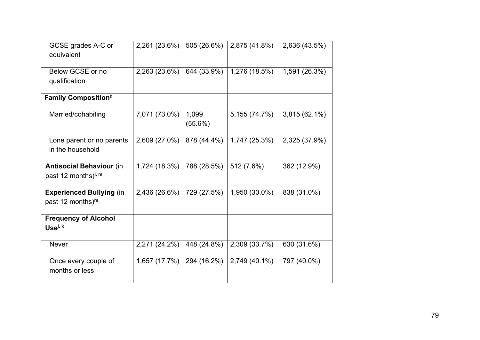| GCSE grades A-C or                     | 2,261 (23.6%) | 505 (26.6%) | 2,875 (41.8%) | 2,636 (43.5%) |
|----------------------------------------|---------------|-------------|---------------|---------------|
| equivalent                             |               |             |               |               |
|                                        |               |             |               |               |
| Below GCSE or no                       | 2,263 (23.6%) | 644 (33.9%) | 1,276 (18.5%) | 1,591 (26.3%) |
| qualification                          |               |             |               |               |
| <b>Family Compositiond</b>             |               |             |               |               |
| Married/cohabiting                     | 7,071 (73.0%) | 1,099       | 5,155 (74.7%) | 3,815 (62.1%) |
|                                        |               | $(55.6\%)$  |               |               |
| Lone parent or no parents              | 2,609 (27.0%) | 878 (44.4%) | 1,747 (25.3%) | 2,325 (37.9%) |
| in the household                       |               |             |               |               |
| <b>Antisocial Behaviour (in</b>        | 1,724 (18.3%) | 788 (28.5%) | 512 (7.6%)    | 362 (12.9%)   |
| past 12 months) <sup>1, m</sup>        |               |             |               |               |
| <b>Experienced Bullying (in</b>        | 2,436 (26.6%) | 729 (27.5%) | 1,950 (30.0%) | 838 (31.0%)   |
| past 12 months) <sup>m</sup>           |               |             |               |               |
| <b>Frequency of Alcohol</b>            |               |             |               |               |
| Usei, k                                |               |             |               |               |
| <b>Never</b>                           | 2,271 (24.2%) | 448 (24.8%) | 2,309 (33.7%) | 630 (31.6%)   |
| Once every couple of<br>months or less | 1,657 (17.7%) | 294 (16.2%) | 2,749 (40.1%) | 797 (40.0%)   |
|                                        |               |             |               |               |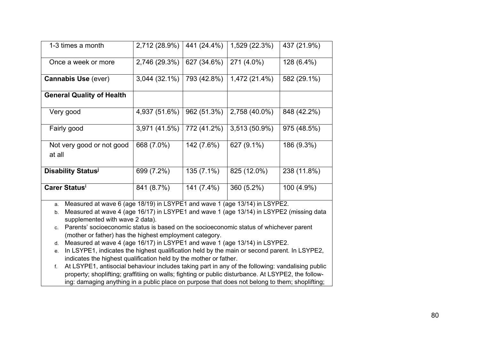| 2,712 (28.9%)<br>441 (24.4%)<br>1,529 (22.3%)<br>1-3 times a month<br>271 (4.0%)<br>2,746 (29.3%)<br>Once a week or more<br>627 (34.6%)<br>1,472 (21.4%)<br><b>Cannabis Use (ever)</b><br>$3,044(32.1\%)$<br>793 (42.8%)<br><b>General Quality of Health</b><br>4,937 (51.6%)<br>962 (51.3%)<br>2,758 (40.0%)<br>Very good<br>3,971 (41.5%)<br>3,513 (50.9%)<br>772 (41.2%)<br>Fairly good<br>627 (9.1%)<br>Not very good or not good<br>668 (7.0%)<br>142 (7.6%)<br>at all<br><b>Disability Status</b><br>825 (12.0%)<br>699 (7.2%)<br>135 (7.1%)<br><b>Carer Status</b><br>841 (8.7%)<br>360 (5.2%)<br>141 (7.4%) |  |  |             |
|---------------------------------------------------------------------------------------------------------------------------------------------------------------------------------------------------------------------------------------------------------------------------------------------------------------------------------------------------------------------------------------------------------------------------------------------------------------------------------------------------------------------------------------------------------------------------------------------------------------------|--|--|-------------|
|                                                                                                                                                                                                                                                                                                                                                                                                                                                                                                                                                                                                                     |  |  | 437 (21.9%) |
|                                                                                                                                                                                                                                                                                                                                                                                                                                                                                                                                                                                                                     |  |  | 128 (6.4%)  |
|                                                                                                                                                                                                                                                                                                                                                                                                                                                                                                                                                                                                                     |  |  | 582 (29.1%) |
|                                                                                                                                                                                                                                                                                                                                                                                                                                                                                                                                                                                                                     |  |  |             |
|                                                                                                                                                                                                                                                                                                                                                                                                                                                                                                                                                                                                                     |  |  | 848 (42.2%) |
|                                                                                                                                                                                                                                                                                                                                                                                                                                                                                                                                                                                                                     |  |  | 975 (48.5%) |
|                                                                                                                                                                                                                                                                                                                                                                                                                                                                                                                                                                                                                     |  |  | 186 (9.3%)  |
|                                                                                                                                                                                                                                                                                                                                                                                                                                                                                                                                                                                                                     |  |  | 238 (11.8%) |
|                                                                                                                                                                                                                                                                                                                                                                                                                                                                                                                                                                                                                     |  |  | 100 (4.9%)  |

a. Measured at wave 6 (age 18/19) in LSYPE1 and wave 1 (age 13/14) in LSYPE2.

b. Measured at wave 4 (age 16/17) in LSYPE1 and wave 1 (age 13/14) in LSYPE2 (missing data supplemented with wave 2 data).

c. Parents' socioeconomic status is based on the socioeconomic status of whichever parent (mother or father) has the highest employment category.

d. Measured at wave 4 (age 16/17) in LSYPE1 and wave 1 (age 13/14) in LSYPE2.

e. In LSYPE1, indicates the highest qualification held by the main or second parent. In LSYPE2, indicates the highest qualification held by the mother or father.

f. At LSYPE1, antisocial behaviour includes taking part in any of the following: vandalising public property; shoplifting; graffitiing on walls; fighting or public disturbance. At LSYPE2, the following: damaging anything in a public place on purpose that does not belong to them; shoplifting;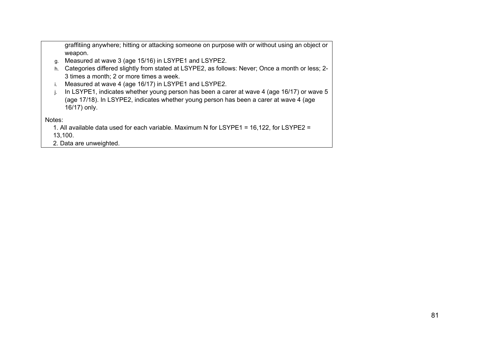graffitiing anywhere; hitting or attacking someone on purpose with or without using an object or weapon.

- g. Measured at wave 3 (age 15/16) in LSYPE1 and LSYPE2.
- h. Categories differed slightly from stated at LSYPE2, as follows: Never; Once a month or less; 2- 3 times a month; 2 or more times a week.
- i. Measured at wave 4 (age 16/17) in LSYPE1 and LSYPE2.
- j. In LSYPE1, indicates whether young person has been a carer at wave 4 (age 16/17) or wave 5 (age 17/18). In LSYPE2, indicates whether young person has been a carer at wave 4 (age 16/17) only.

Notes:

1. All available data used for each variable. Maximum N for LSYPE1 = 16,122, for LSYPE2 = 13,100.

2. Data are unweighted.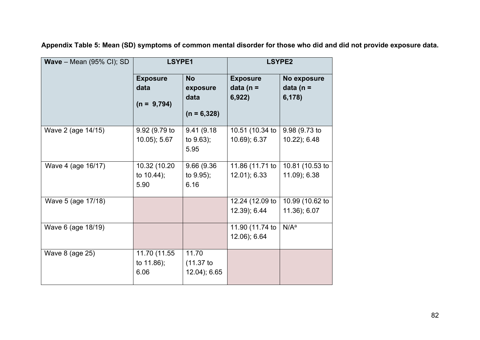| <b>Wave</b> – Mean $(95\% \text{ Cl})$ ; SD | LSYPE1                                   |                                                | <b>LSYPE2</b>                             |                                       |
|---------------------------------------------|------------------------------------------|------------------------------------------------|-------------------------------------------|---------------------------------------|
|                                             | <b>Exposure</b><br>data<br>$(n = 9,794)$ | <b>No</b><br>exposure<br>data<br>$(n = 6,328)$ | <b>Exposure</b><br>data ( $n =$<br>6,922) | No exposure<br>data ( $n =$<br>6,178) |
| Wave 2 (age 14/15)                          | 9.92 (9.79 to<br>$10.05$ ; 5.67          | 9.41 (9.18)<br>to 9.63);<br>5.95               | 10.51 (10.34 to<br>10.69); 6.37           | 9.98 (9.73 to<br>10.22); 6.48         |
| Wave 4 (age 16/17)                          | 10.32 (10.20<br>to 10.44);<br>5.90       | 9.66 (9.36<br>to 9.95);<br>6.16                | 11.86 (11.71 to<br>12.01); 6.33           | 10.81 (10.53 to<br>11.09); 6.38       |
| Wave 5 (age 17/18)                          |                                          |                                                | 12.24 (12.09 to<br>12.39); 6.44           | 10.99 (10.62 to<br>11.36); 6.07       |
| Wave 6 (age 18/19)                          |                                          |                                                | 11.90 (11.74 to<br>12.06); 6.64           | N/A <sup>a</sup>                      |
| Wave 8 (age 25)                             | 11.70 (11.55<br>to 11.86);<br>6.06       | 11.70<br>$(11.37)$ to<br>12.04); 6.65          |                                           |                                       |

**Appendix Table 5: Mean (SD) symptoms of common mental disorder for those who did and did not provide exposure data.**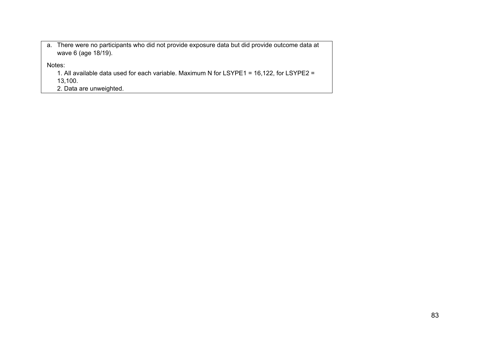a. There were no participants who did not provide exposure data but did provide outcome data at wave 6 (age 18/19).

Notes:

1. All available data used for each variable. Maximum N for LSYPE1 = 16,122, for LSYPE2 = 13,100.

2. Data are unweighted.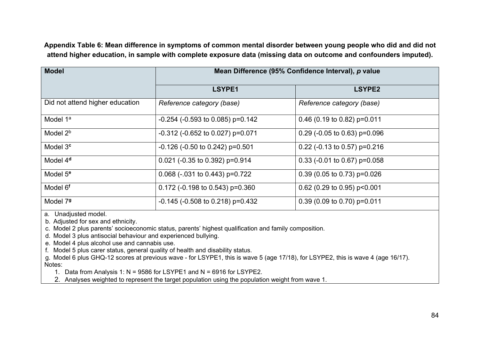**Appendix Table 6: Mean difference in symptoms of common mental disorder between young people who did and did not attend higher education, in sample with complete exposure data (missing data on outcome and confounders imputed).**

| <b>Model</b>                    |                                       | Mean Difference (95% Confidence Interval), p value |
|---------------------------------|---------------------------------------|----------------------------------------------------|
|                                 | LSYPE1                                | LSYPE2                                             |
| Did not attend higher education | Reference category (base)             | Reference category (base)                          |
| Model 1 <sup>a</sup>            | $-0.254$ ( $-0.593$ to 0.085) p=0.142 | 0.46 (0.19 to 0.82) $p=0.011$                      |
| Model $2b$                      | $-0.312$ ( $-0.652$ to 0.027) p=0.071 | 0.29 (-0.05 to 0.63) $p=0.096$                     |
| Model 3 <sup>c</sup>            | $-0.126$ ( $-0.50$ to 0.242) p=0.501  | 0.22 (-0.13 to 0.57) $p=0.216$                     |
| Model 4 <sup>d</sup>            | $0.021$ (-0.35 to 0.392) p=0.914      | 0.33 (-0.01 to 0.67) $p=0.058$                     |
| Model 5 <sup>e</sup>            | $0.068$ ( $-031$ to $0.443$ ) p=0.722 | $0.39$ (0.05 to 0.73) p=0.026                      |
| Model 6 <sup>f</sup>            | 0.172 (-0.198 to 0.543) $p=0.360$     | 0.62 (0.29 to 0.95) $p<0.001$                      |
| Model 79                        | $-0.145$ ( $-0.508$ to 0.218) p=0.432 | $0.39$ (0.09 to 0.70) p=0.011                      |

a. Unadjusted model.

b. Adjusted for sex and ethnicity.

c. Model 2 plus parents' socioeconomic status, parents' highest qualification and family composition.

d. Model 3 plus antisocial behaviour and experienced bullying.

e. Model 4 plus alcohol use and cannabis use.

f. Model 5 plus carer status, general quality of health and disability status.

g. Model 6 plus GHQ-12 scores at previous wave - for LSYPE1, this is wave 5 (age 17/18), for LSYPE2, this is wave 4 (age 16/17). Notes:

1. Data from Analysis 1: N = 9586 for LSYPE1 and N = 6916 for LSYPE2.

2. Analyses weighted to represent the target population using the population weight from wave 1.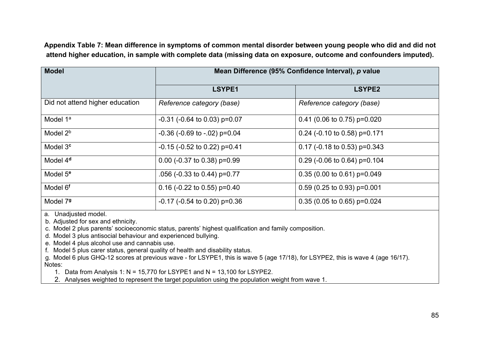**Appendix Table 7: Mean difference in symptoms of common mental disorder between young people who did and did not attend higher education, in sample with complete data (missing data on exposure, outcome and confounders imputed).**

| <b>Model</b>                    | Mean Difference (95% Confidence Interval), p value |                                |  |  |
|---------------------------------|----------------------------------------------------|--------------------------------|--|--|
|                                 | LSYPE1                                             | <b>LSYPE2</b>                  |  |  |
| Did not attend higher education | Reference category (base)                          | Reference category (base)      |  |  |
| Model 1 <sup>a</sup>            | $-0.31$ ( $-0.64$ to 0.03) p=0.07                  | $0.41$ (0.06 to 0.75) p=0.020  |  |  |
| Model 2 <sup>b</sup>            | $-0.36$ ( $-0.69$ to $-0.02$ ) p=0.04              | 0.24 (-0.10 to 0.58) $p=0.171$ |  |  |
| Model 3 <sup>c</sup>            | $-0.15$ ( $-0.52$ to 0.22) p=0.41                  | 0.17 (-0.18 to 0.53) $p=0.343$ |  |  |
| Model 4 <sup>d</sup>            | 0.00 (-0.37 to 0.38) $p=0.99$                      | 0.29 (-0.06 to 0.64) $p=0.104$ |  |  |
| Model 5 <sup>e</sup>            | $.056$ (-0.33 to 0.44) p=0.77                      | $0.35(0.00 to 0.61) p=0.049$   |  |  |
| Model 6 <sup>f</sup>            | 0.16 (-0.22 to 0.55) $p=0.40$                      | $0.59$ (0.25 to 0.93) p=0.001  |  |  |
| Model 79                        | $-0.17$ ( $-0.54$ to 0.20) p=0.36                  | $0.35$ (0.05 to 0.65) p=0.024  |  |  |

a. Unadjusted model.

b. Adjusted for sex and ethnicity.

c. Model 2 plus parents' socioeconomic status, parents' highest qualification and family composition.

d. Model 3 plus antisocial behaviour and experienced bullying.

e. Model 4 plus alcohol use and cannabis use.

f. Model 5 plus carer status, general quality of health and disability status.

g. Model 6 plus GHQ-12 scores at previous wave - for LSYPE1, this is wave 5 (age 17/18), for LSYPE2, this is wave 4 (age 16/17). Notes:

1. Data from Analysis 1: N = 15,770 for LSYPE1 and N = 13,100 for LSYPE2.

2. Analyses weighted to represent the target population using the population weight from wave 1.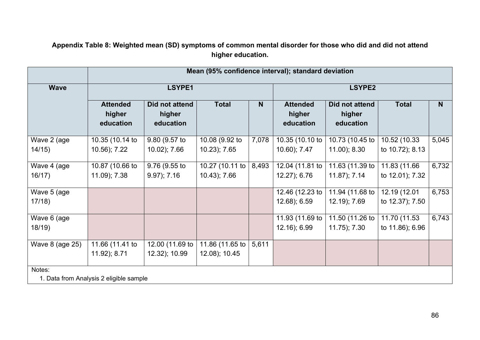**Appendix Table 8: Weighted mean (SD) symptoms of common mental disorder for those who did and did not attend higher education.**

|                                                   | Mean (95% confidence interval); standard deviation |                                       |                                  |               |                                        |                                       |                                 |       |  |
|---------------------------------------------------|----------------------------------------------------|---------------------------------------|----------------------------------|---------------|----------------------------------------|---------------------------------------|---------------------------------|-------|--|
| <b>Wave</b>                                       | LSYPE1                                             |                                       |                                  | <b>LSYPE2</b> |                                        |                                       |                                 |       |  |
|                                                   | <b>Attended</b><br>higher<br>education             | Did not attend<br>higher<br>education | <b>Total</b>                     | N             | <b>Attended</b><br>higher<br>education | Did not attend<br>higher<br>education | <b>Total</b>                    | N     |  |
| Wave 2 (age<br>14/15)                             | 10.35 (10.14 to<br>10.56); 7.22                    | 9.80 (9.57 to<br>10.02); 7.66         | 10.08 (9.92 to<br>10.23); 7.65   | 7,078         | 10.35 (10.10 to<br>10.60); 7.47        | 10.73 (10.45 to<br>$11.00$ ); $8.30$  | 10.52 (10.33<br>to 10.72); 8.13 | 5,045 |  |
| Wave 4 (age<br>16/17)                             | 10.87 (10.66 to<br>11.09); 7.38                    | 9.76 (9.55 to<br>$9.97$ ; $7.16$      | 10.27 (10.11 to<br>10.43); 7.66  | 8,493         | 12.04 (11.81 to<br>12.27); 6.76        | 11.63 (11.39 to<br>$11.87$ ; $7.14$   | 11.83 (11.66<br>to 12.01); 7.32 | 6,732 |  |
| Wave 5 (age<br>17/18                              |                                                    |                                       |                                  |               | 12.46 (12.23 to<br>12.68); 6.59        | 11.94 (11.68 to<br>12.19); 7.69       | 12.19 (12.01<br>to 12.37); 7.50 | 6,753 |  |
| Wave 6 (age<br>18/19                              |                                                    |                                       |                                  |               | 11.93 (11.69 to<br>12.16); 6.99        | 11.50 (11.26 to<br>$11.75$ ; $7.30$   | 11.70 (11.53<br>to 11.86); 6.96 | 6,743 |  |
| Wave 8 (age 25)                                   | 11.66 (11.41 to<br>11.92); 8.71                    | 12.00 (11.69 to<br>12.32); 10.99      | 11.86 (11.65 to<br>12.08); 10.45 | 5,611         |                                        |                                       |                                 |       |  |
| Notes:<br>1. Data from Analysis 2 eligible sample |                                                    |                                       |                                  |               |                                        |                                       |                                 |       |  |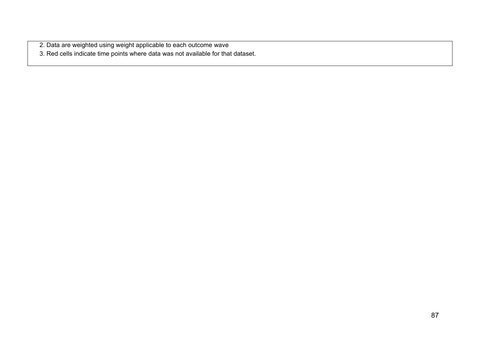2. Data are weighted using weight applicable to each outcome wave

3. Red cells indicate time points where data was not available for that dataset.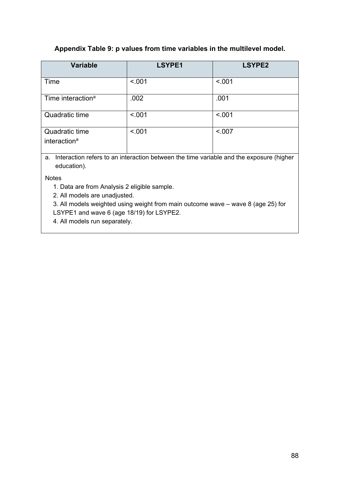## **Appendix Table 9: p values from time variables in the multilevel model.**

| <b>Variable</b>                            | LSYPE1 | <b>LSYPE2</b> |
|--------------------------------------------|--------|---------------|
| Time                                       | < 001  | < 001         |
| Time interaction <sup>a</sup>              | .002   | .001          |
| Quadratic time                             | < 001  | < 001         |
| Quadratic time<br>interaction <sup>a</sup> | < .001 | < 0.07        |

a. Interaction refers to an interaction between the time variable and the exposure (higher education).

Notes

1. Data are from Analysis 2 eligible sample.

2. All models are unadjusted.

3. All models weighted using weight from main outcome wave – wave 8 (age 25) for LSYPE1 and wave 6 (age 18/19) for LSYPE2.

4. All models run separately.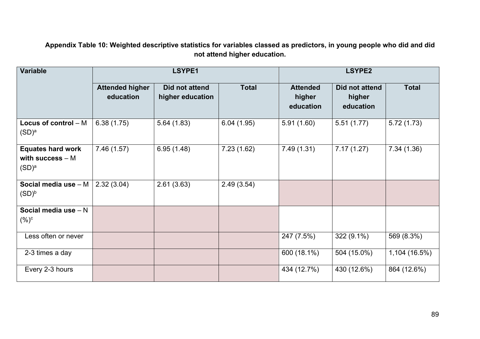**Appendix Table 10: Weighted descriptive statistics for variables classed as predictors, in young people who did and did not attend higher education.**

| <b>Variable</b>                                                              |                                     | LSYPE1                             | <b>LSYPE2</b> |                                        |                                       |               |
|------------------------------------------------------------------------------|-------------------------------------|------------------------------------|---------------|----------------------------------------|---------------------------------------|---------------|
|                                                                              | <b>Attended higher</b><br>education | Did not attend<br>higher education | <b>Total</b>  | <b>Attended</b><br>higher<br>education | Did not attend<br>higher<br>education | <b>Total</b>  |
| Locus of control $- M$<br>$(\mathsf{SD})^\mathsf{a}$                         | 6.38(1.75)                          | 5.64(1.83)                         | 6.04(1.95)    | 5.91(1.60)                             | 5.51(1.77)                            | 5.72(1.73)    |
| <b>Equates hard work</b><br>with success $- M$<br>$(\mathsf{SD})^\mathsf{a}$ | 7.46(1.57)                          | 6.95(1.48)                         | 7.23(1.62)    | 7.49(1.31)                             | $\overline{7}.17(1.27)$               | 7.34(1.36)    |
| Social media use - M<br>$(\mathsf{SD})^\mathsf{b}$                           | 2.32(3.04)                          | 2.61(3.63)                         | 2.49(3.54)    |                                        |                                       |               |
| Social media use $- N$<br>$( \% )^c$                                         |                                     |                                    |               |                                        |                                       |               |
| Less often or never                                                          |                                     |                                    |               | 247 (7.5%)                             | 322 (9.1%)                            | 569 (8.3%)    |
| 2-3 times a day                                                              |                                     |                                    |               | 600 (18.1%)                            | 504 (15.0%)                           | 1,104 (16.5%) |
| Every 2-3 hours                                                              |                                     |                                    |               | 434 (12.7%)                            | 430 (12.6%)                           | 864 (12.6%)   |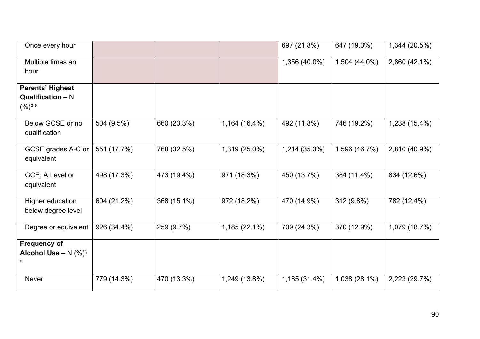| Once every hour                                          |             |             |               | 697 (21.8%)   | 647 (19.3%)   | 1,344 (20.5%) |
|----------------------------------------------------------|-------------|-------------|---------------|---------------|---------------|---------------|
| Multiple times an<br>hour                                |             |             |               | 1,356 (40.0%) | 1,504 (44.0%) | 2,860 (42.1%) |
| <b>Parents' Highest</b>                                  |             |             |               |               |               |               |
| <b>Qualification</b> $- N$<br>$(\%)^{\text{d,e}}$        |             |             |               |               |               |               |
| Below GCSE or no<br>qualification                        | 504 (9.5%)  | 660 (23.3%) | 1,164 (16.4%) | 492 (11.8%)   | 746 (19.2%)   | 1,238 (15.4%) |
| GCSE grades A-C or<br>equivalent                         | 551 (17.7%) | 768 (32.5%) | 1,319 (25.0%) | 1,214 (35.3%) | 1,596 (46.7%) | 2,810 (40.9%) |
| GCE, A Level or<br>equivalent                            | 498 (17.3%) | 473 (19.4%) | 971 (18.3%)   | 450 (13.7%)   | 384 (11.4%)   | 834 (12.6%)   |
| Higher education<br>below degree level                   | 604 (21.2%) | 368 (15.1%) | 972 (18.2%)   | 470 (14.9%)   | 312 (9.8%)    | 782 (12.4%)   |
| Degree or equivalent                                     | 926 (34.4%) | 259 (9.7%)  | 1,185 (22.1%) | 709 (24.3%)   | 370 (12.9%)   | 1,079 (18.7%) |
| <b>Frequency of</b><br>Alcohol Use - N $(\%)^{f}$ ,<br>g |             |             |               |               |               |               |
| <b>Never</b>                                             | 779 (14.3%) | 470 (13.3%) | 1,249 (13.8%) | 1,185 (31.4%) | 1,038 (28.1%) | 2,223 (29.7%) |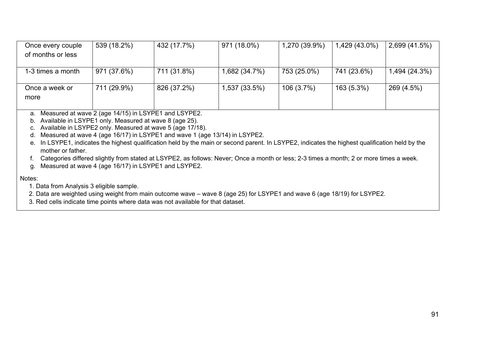| Once every couple | 539 (18.2%) | 432 (17.7%) | 971 (18.0%)   | 1,270 (39.9%) | 1,429 (43.0%) | 2,699 (41.5%) |
|-------------------|-------------|-------------|---------------|---------------|---------------|---------------|
| of months or less |             |             |               |               |               |               |
|                   |             |             |               |               |               |               |
| 1-3 times a month | 971 (37.6%) | 711 (31.8%) | 1,682 (34.7%) | 753 (25.0%)   | 741 (23.6%)   | 1,494 (24.3%) |
|                   |             |             |               |               |               |               |
| Once a week or    | 711 (29.9%) | 826 (37.2%) | 1,537 (33.5%) | $106(3.7\%)$  | 163 (5.3%)    | 269 (4.5%)    |
| more              |             |             |               |               |               |               |
|                   |             |             |               |               |               |               |

a. Measured at wave 2 (age 14/15) in LSYPE1 and LSYPE2.

b. Available in LSYPE1 only. Measured at wave 8 (age 25).

c. Available in LSYPE2 only. Measured at wave 5 (age 17/18).

d. Measured at wave 4 (age 16/17) in LSYPE1 and wave 1 (age 13/14) in LSYPE2.

e. In LSYPE1, indicates the highest qualification held by the main or second parent. In LSYPE2, indicates the highest qualification held by the mother or father.

f. Categories differed slightly from stated at LSYPE2, as follows: Never; Once a month or less; 2-3 times a month; 2 or more times a week.

g. Measured at wave 4 (age 16/17) in LSYPE1 and LSYPE2.

Notes:

1. Data from Analysis 3 eligible sample.

2. Data are weighted using weight from main outcome wave – wave 8 (age 25) for LSYPE1 and wave 6 (age 18/19) for LSYPE2.

3. Red cells indicate time points where data was not available for that dataset.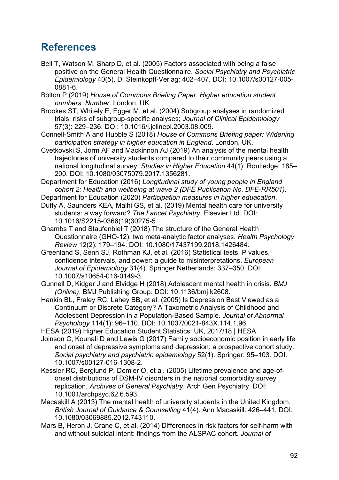## **References**

Bell T, Watson M, Sharp D, et al. (2005) Factors associated with being a false positive on the General Health Questionnaire. *Social Psychiatry and Psychiatric Epidemiology* 40(5). D. Steinkopff-Verlag: 402–407. DOI: 10.1007/s00127-005- 0881-6.

Bolton P (2019) *House of Commons Briefing Paper: Higher education student numbers*. *Number*. London, UK.

Brookes ST, Whitely E, Egger M, et al. (2004) Subgroup analyses in randomized trials: risks of subgroup-specific analyses; *Journal of Clinical Epidemiology* 57(3): 229–236. DOI: 10.1016/j.jclinepi.2003.08.009.

Connell-Smith A and Hubble S (2018) *House of Commons Briefing paper: Widening participation strategy in higher education in England*. London, UK.

Cvetkovski S, Jorm AF and Mackinnon AJ (2019) An analysis of the mental health trajectories of university students compared to their community peers using a national longitudinal survey. *Studies in Higher Education* 44(1). Routledge: 185– 200. DOI: 10.1080/03075079.2017.1356281.

Department for Education (2016) *Longitudinal study of young people in England cohort 2: Health and wellbeing at wave 2 (DFE Publication No. DFE-RR501)*.

Department for Education (2020) *Participation measures in higher eduacation*.

Duffy A, Saunders KEA, Malhi GS, et al. (2019) Mental health care for university students: a way forward? *The Lancet Psychiatry*. Elsevier Ltd. DOI: 10.1016/S2215-0366(19)30275-5.

Gnambs T and Staufenbiel T (2018) The structure of the General Health Questionnaire (GHQ-12): two meta-analytic factor analyses. *Health Psychology Review* 12(2): 179–194. DOI: 10.1080/17437199.2018.1426484.

Greenland S, Senn SJ, Rothman KJ, et al. (2016) Statistical tests, P values, confidence intervals, and power: a guide to misinterpretations. *European Journal of Epidemiology* 31(4). Springer Netherlands: 337–350. DOI: 10.1007/s10654-016-0149-3.

Gunnell D, Kidger J and Elvidge H (2018) Adolescent mental health in crisis. *BMJ (Online)*. BMJ Publishing Group. DOI: 10.1136/bmj.k2608.

Hankin BL, Fraley RC, Lahey BB, et al. (2005) Is Depression Best Viewed as a Continuum or Discrete Category? A Taxometric Analysis of Childhood and Adolescent Depression in a Population-Based Sample. *Journal of Abnormal Psychology* 114(1): 96–110. DOI: 10.1037/0021-843X.114.1.96.

HESA (2019) Higher Education Student Statistics: UK, 2017/18 | HESA.

Joinson C, Kounali D and Lewis G (2017) Family socioeconomic position in early life and onset of depressive symptoms and depression: a prospective cohort study. *Social psychiatry and psychiatric epidemiology* 52(1). Springer: 95–103. DOI: 10.1007/s00127-016-1308-2.

Kessler RC, Berglund P, Demler O, et al. (2005) Lifetime prevalence and age-ofonset distributions of DSM-IV disorders in the national comorbidity survey replication. *Archives of General Psychiatry*. Arch Gen Psychiatry. DOI: 10.1001/archpsyc.62.6.593.

Macaskill A (2013) The mental health of university students in the United Kingdom. *British Journal of Guidance & Counselling* 41(4). Ann Macaskill: 426–441. DOI: 10.1080/03069885.2012.743110.

Mars B, Heron J, Crane C, et al. (2014) Differences in risk factors for self-harm with and without suicidal intent: findings from the ALSPAC cohort. *Journal of*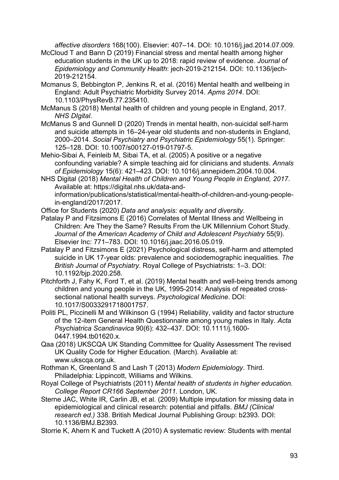*affective disorders* 168(100). Elsevier: 407–14. DOI: 10.1016/j.jad.2014.07.009.

- McCloud T and Bann D (2019) Financial stress and mental health among higher education students in the UK up to 2018: rapid review of evidence. *Journal of Epidemiology and Community Health*: jech-2019-212154. DOI: 10.1136/jech-2019-212154.
- Mcmanus S, Bebbington P, Jenkins R, et al. (2016) Mental health and wellbeing in England: Adult Psychiatric Morbidity Survey 2014. *Apms 2014*. DOI: 10.1103/PhysRevB.77.235410.
- McManus S (2018) Mental health of children and young people in England, 2017. *NHS DIgital*.
- McManus S and Gunnell D (2020) Trends in mental health, non‐suicidal self‐harm and suicide attempts in 16–24-year old students and non-students in England, 2000–2014. *Social Psychiatry and Psychiatric Epidemiology* 55(1). Springer: 125–128. DOI: 10.1007/s00127-019-01797-5.
- Mehio-Sibai A, Feinleib M, Sibai TA, et al. (2005) A positive or a negative confounding variable? A simple teaching aid for clinicians and students. *Annals of Epidemiology* 15(6): 421–423. DOI: 10.1016/j.annepidem.2004.10.004.

NHS Digital (2018) *Mental Health of Children and Young People in England, 2017*. Available at: https://digital.nhs.uk/data-andinformation/publications/statistical/mental-health-of-children-and-young-peoplein-england/2017/2017.

Office for Students (2020) *Data and analysis: equality and diversity*.

- Patalay P and Fitzsimons E (2016) Correlates of Mental Illness and Wellbeing in Children: Are They the Same? Results From the UK Millennium Cohort Study. *Journal of the American Academy of Child and Adolescent Psychiatry* 55(9). Elsevier Inc: 771–783. DOI: 10.1016/j.jaac.2016.05.019.
- Patalay P and Fitzsimons E (2021) Psychological distress, self-harm and attempted suicide in UK 17-year olds: prevalence and sociodemographic inequalities. *The British Journal of Psychiatry*. Royal College of Psychiatrists: 1–3. DOI: 10.1192/bjp.2020.258.
- Pitchforth J, Fahy K, Ford T, et al. (2019) Mental health and well-being trends among children and young people in the UK, 1995-2014: Analysis of repeated crosssectional national health surveys. *Psychological Medicine*. DOI: 10.1017/S0033291718001757.
- Politi PL, Piccinelli M and Wilkinson G (1994) Reliability, validity and factor structure of the 12-item General Health Questionnaire among young males in Italy. *Acta Psychiatrica Scandinavica* 90(6): 432–437. DOI: 10.1111/j.1600- 0447.1994.tb01620.x.
- Qaa (2018) UKSCQA UK Standing Committee for Quality Assessment The revised UK Quality Code for Higher Education. (March). Available at: www.ukscqa.org.uk.
- Rothman K, Greenland S and Lash T (2013) *Modern Epidemiology*. Third. Philadelphia: Lippincott, Williams and Wilkins.
- Royal College of Psychiatrists (2011) *Mental health of students in higher education. College Report CR166 September 2011.* London, UK.
- Sterne JAC, White IR, Carlin JB, et al. (2009) Multiple imputation for missing data in epidemiological and clinical research: potential and pitfalls. *BMJ (Clinical research ed.)* 338. British Medical Journal Publishing Group: b2393. DOI: 10.1136/BMJ.B2393.

Storrie K, Ahern K and Tuckett A (2010) A systematic review: Students with mental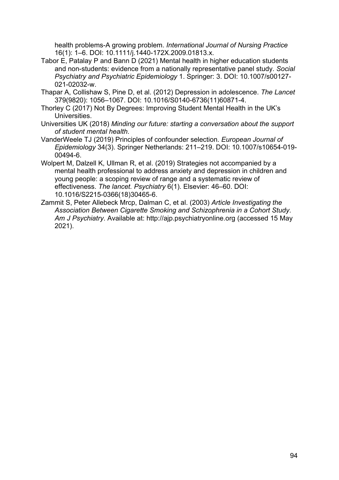health problems-A growing problem. *International Journal of Nursing Practice* 16(1): 1–6. DOI: 10.1111/j.1440-172X.2009.01813.x.

- Tabor E, Patalay P and Bann D (2021) Mental health in higher education students and non-students: evidence from a nationally representative panel study. *Social Psychiatry and Psychiatric Epidemiology* 1. Springer: 3. DOI: 10.1007/s00127- 021-02032-w.
- Thapar A, Collishaw S, Pine D, et al. (2012) Depression in adolescence. *The Lancet* 379(9820): 1056–1067. DOI: 10.1016/S0140-6736(11)60871-4.
- Thorley C (2017) Not By Degrees: Improving Student Mental Health in the UK's Universities.
- Universities UK (2018) *Minding our future: starting a conversation about the support of student mental health*.
- VanderWeele TJ (2019) Principles of confounder selection. *European Journal of Epidemiology* 34(3). Springer Netherlands: 211–219. DOI: 10.1007/s10654-019- 00494-6.
- Wolpert M, Dalzell K, Ullman R, et al. (2019) Strategies not accompanied by a mental health professional to address anxiety and depression in children and young people: a scoping review of range and a systematic review of effectiveness. *The lancet. Psychiatry* 6(1). Elsevier: 46–60. DOI: 10.1016/S2215-0366(18)30465-6.
- Zammit S, Peter Allebeck Mrcp, Dalman C, et al. (2003) *Article Investigating the Association Between Cigarette Smoking and Schizophrenia in a Cohort Study*. *Am J Psychiatry*. Available at: http://ajp.psychiatryonline.org (accessed 15 May 2021).